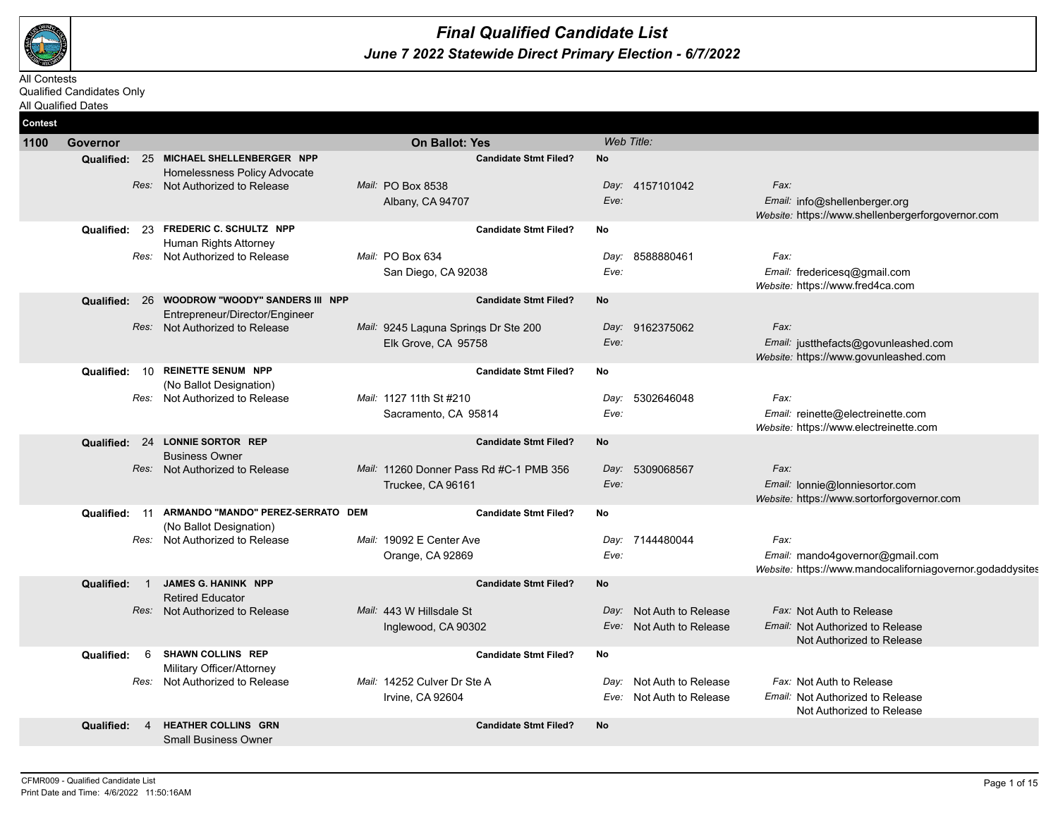

## *June 7 2022 Statewide Direct Primary Election - 6/7/2022 Final Qualified Candidate List*

All Contests Qualified Candidates Only All Qualified Dates

| <b>Contest</b> |                                        |                                                           |                                         |              |                          |                                                                               |
|----------------|----------------------------------------|-----------------------------------------------------------|-----------------------------------------|--------------|--------------------------|-------------------------------------------------------------------------------|
| 1100           | Governor                               |                                                           | <b>On Ballot: Yes</b>                   |              | Web Title:               |                                                                               |
|                |                                        | Qualified: 25 MICHAEL SHELLENBERGER NPP                   | <b>Candidate Stmt Filed?</b>            | <b>No</b>    |                          |                                                                               |
|                |                                        | Homelessness Policy Advocate                              |                                         |              |                          | Fax:                                                                          |
|                |                                        | Res: Not Authorized to Release                            | Mail: PO Box 8538<br>Albany, CA 94707   | Eve:         | Day: 4157101042          | Email: info@shellenberger.org                                                 |
|                |                                        |                                                           |                                         |              |                          | Website: https://www.shellenbergerforgovernor.com                             |
|                |                                        | Qualified: 23 FREDERIC C. SCHULTZ NPP                     | <b>Candidate Stmt Filed?</b>            | No           |                          |                                                                               |
|                |                                        | Human Rights Attorney                                     |                                         |              |                          | Fax:                                                                          |
|                |                                        | Res: Not Authorized to Release                            | Mail: PO Box 634<br>San Diego, CA 92038 | Day:<br>Eve: | 8588880461               | Email: fredericesq@gmail.com                                                  |
|                |                                        |                                                           |                                         |              |                          | Website: https://www.fred4ca.com                                              |
|                | Qualified: 26                          | <b>WOODROW "WOODY" SANDERS III NPP</b>                    | <b>Candidate Stmt Filed?</b>            | <b>No</b>    |                          |                                                                               |
|                |                                        | Entrepreneur/Director/Engineer                            |                                         |              |                          |                                                                               |
|                |                                        | Res: Not Authorized to Release                            | Mail: 9245 Laguna Springs Dr Ste 200    |              | Day: 9162375062          | Fax:                                                                          |
|                |                                        |                                                           | Elk Grove, CA 95758                     | Eve:         |                          | Email: justthefacts@govunleashed.com<br>Website: https://www.govunleashed.com |
|                | 10<br>Qualified:                       | <b>REINETTE SENUM NPP</b>                                 | <b>Candidate Stmt Filed?</b>            | No           |                          |                                                                               |
|                |                                        | (No Ballot Designation)                                   |                                         |              |                          |                                                                               |
|                |                                        | Res: Not Authorized to Release                            | Mail: 1127 11th St #210                 | Day:         | 5302646048               | Fax:                                                                          |
|                |                                        |                                                           | Sacramento, CA 95814                    | Eve:         |                          | Email: reinette@electreinette.com<br>Website: https://www.electreinette.com   |
|                |                                        | Qualified: 24 LONNIE SORTOR REP                           | <b>Candidate Stmt Filed?</b>            | No           |                          |                                                                               |
|                |                                        | <b>Business Owner</b>                                     |                                         |              |                          |                                                                               |
|                |                                        | Res: Not Authorized to Release                            | Mail: 11260 Donner Pass Rd #C-1 PMB 356 | Day:         | 5309068567               | Fax:                                                                          |
|                |                                        |                                                           | Truckee, CA 96161                       | Eve:         |                          | Email: lonnie@lonniesortor.com                                                |
|                |                                        | Qualified: 11 ARMANDO "MANDO" PEREZ-SERRATO DEM           | <b>Candidate Stmt Filed?</b>            | No           |                          | Website: https://www.sortorforgovernor.com                                    |
|                |                                        | (No Ballot Designation)                                   |                                         |              |                          |                                                                               |
|                |                                        | Res: Not Authorized to Release                            | Mail: 19092 E Center Ave                | Day:         | 7144480044               | Fax:                                                                          |
|                |                                        |                                                           | Orange, CA 92869                        | Eve:         |                          | Email: mando4governor@gmail.com                                               |
|                | Qualified:<br>$\overline{\phantom{1}}$ | <b>JAMES G. HANINK NPP</b>                                | <b>Candidate Stmt Filed?</b>            | <b>No</b>    |                          | Website: https://www.mandocaliforniagovernor.godaddysites                     |
|                |                                        | <b>Retired Educator</b>                                   |                                         |              |                          |                                                                               |
|                |                                        | Res: Not Authorized to Release                            | Mail: 443 W Hillsdale St                |              | Day: Not Auth to Release | Fax: Not Auth to Release                                                      |
|                |                                        |                                                           | Inglewood, CA 90302                     |              | Eve: Not Auth to Release | Email: Not Authorized to Release                                              |
|                |                                        | <b>SHAWN COLLINS REP</b>                                  |                                         |              |                          | Not Authorized to Release                                                     |
|                | 6<br>Qualified:                        | Military Officer/Attorney                                 | <b>Candidate Stmt Filed?</b>            | No           |                          |                                                                               |
|                |                                        | Res: Not Authorized to Release                            | Mail: 14252 Culver Dr Ste A             |              | Day: Not Auth to Release | Fax: Not Auth to Release                                                      |
|                |                                        |                                                           | Irvine, CA 92604                        |              | Eve: Not Auth to Release | Email: Not Authorized to Release                                              |
|                |                                        |                                                           |                                         |              |                          | Not Authorized to Release                                                     |
|                | <b>Qualified:</b>                      | <b>HEATHER COLLINS GRN</b><br><b>Small Business Owner</b> | <b>Candidate Stmt Filed?</b>            | <b>No</b>    |                          |                                                                               |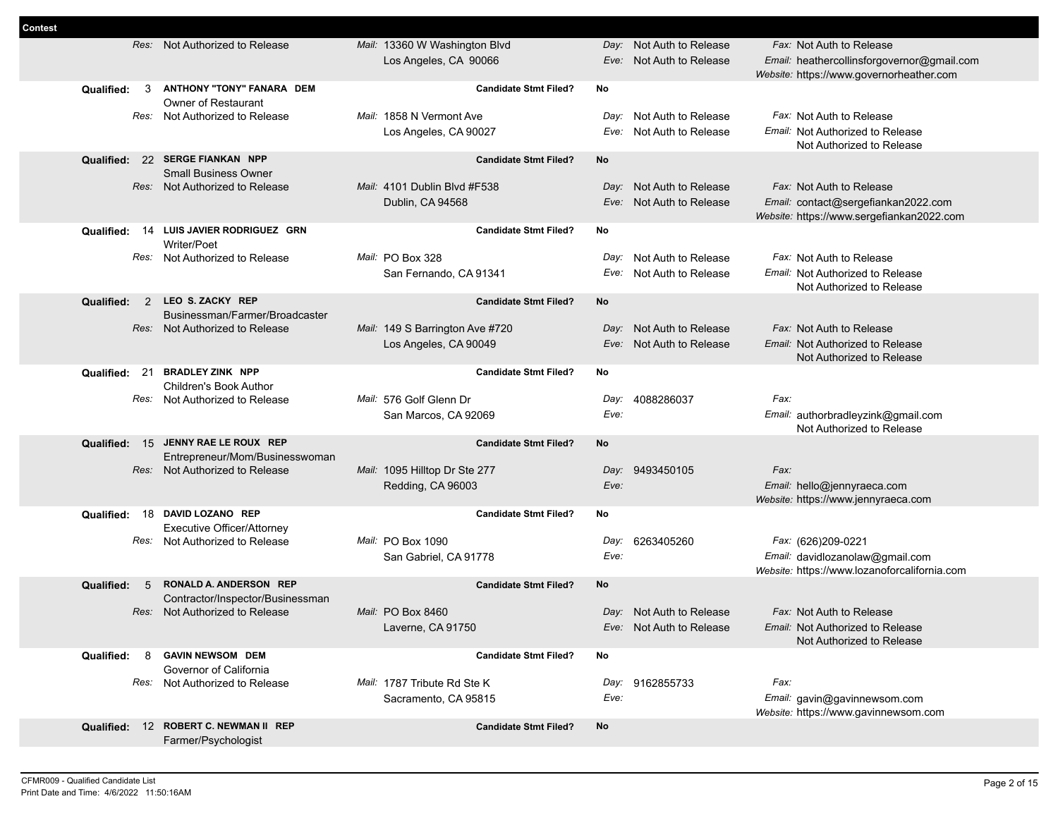| <b>Contest</b> |                   |                                                                   |                                 |                                 |                                                                                  |
|----------------|-------------------|-------------------------------------------------------------------|---------------------------------|---------------------------------|----------------------------------------------------------------------------------|
|                |                   | Res: Not Authorized to Release                                    | Mail: 13360 W Washington Blvd   | Day: Not Auth to Release        | Fax: Not Auth to Release                                                         |
|                |                   |                                                                   | Los Angeles, CA 90066           | Eve: Not Auth to Release        | Email: heathercollinsforgovernor@gmail.com                                       |
|                |                   |                                                                   |                                 |                                 | Website: https://www.governorheather.com                                         |
|                | 3<br>Qualified:   | ANTHONY "TONY" FANARA DEM<br>Owner of Restaurant                  | <b>Candidate Stmt Filed?</b>    | No                              |                                                                                  |
|                | Res:              | Not Authorized to Release                                         | Mail: 1858 N Vermont Ave        | Not Auth to Release<br>Day:     | Fax: Not Auth to Release                                                         |
|                |                   |                                                                   | Los Angeles, CA 90027           | Not Auth to Release<br>Eve:     | Email: Not Authorized to Release                                                 |
|                |                   |                                                                   |                                 |                                 | Not Authorized to Release                                                        |
|                | Qualified:        | 22 SERGE FIANKAN NPP                                              | <b>Candidate Stmt Filed?</b>    | No                              |                                                                                  |
|                |                   | <b>Small Business Owner</b>                                       |                                 |                                 |                                                                                  |
|                | Res:              | Not Authorized to Release                                         | Mail: 4101 Dublin Blvd #F538    | Not Auth to Release<br>Day:     | Fax: Not Auth to Release                                                         |
|                |                   |                                                                   | Dublin, CA 94568                | Not Auth to Release<br>Eve:     | Email: contact@sergefiankan2022.com<br>Website: https://www.sergefiankan2022.com |
|                | 14<br>Qualified:  | LUIS JAVIER RODRIGUEZ GRN                                         | <b>Candidate Stmt Filed?</b>    | No                              |                                                                                  |
|                |                   | Writer/Poet                                                       |                                 |                                 |                                                                                  |
|                | Res:              | Not Authorized to Release                                         | Mail: PO Box 328                | Not Auth to Release<br>Day:     | Fax: Not Auth to Release                                                         |
|                |                   |                                                                   | San Fernando, CA 91341          | Not Auth to Release<br>Eve:     | <i>Email:</i> Not Authorized to Release                                          |
|                |                   | LEO S. ZACKY REP                                                  |                                 | No                              | Not Authorized to Release                                                        |
|                | 2<br>Qualified:   | Businessman/Farmer/Broadcaster                                    | <b>Candidate Stmt Filed?</b>    |                                 |                                                                                  |
|                |                   | Res: Not Authorized to Release                                    | Mail: 149 S Barrington Ave #720 | Not Auth to Release<br>Day:     | Fax: Not Auth to Release                                                         |
|                |                   |                                                                   | Los Angeles, CA 90049           | Not Auth to Release<br>Eve:     | Email: Not Authorized to Release                                                 |
|                |                   |                                                                   |                                 |                                 | Not Authorized to Release                                                        |
|                | -21<br>Qualified: | <b>BRADLEY ZINK NPP</b>                                           | <b>Candidate Stmt Filed?</b>    | No                              |                                                                                  |
|                | Res:              | <b>Children's Book Author</b><br>Not Authorized to Release        | Mail: 576 Golf Glenn Dr         | 4088286037<br>Day:              | Fax:                                                                             |
|                |                   |                                                                   | San Marcos, CA 92069            | Eve:                            | Email: authorbradleyzink@gmail.com                                               |
|                |                   |                                                                   |                                 |                                 | Not Authorized to Release                                                        |
|                | Qualified: 15     | JENNY RAE LE ROUX REP                                             | <b>Candidate Stmt Filed?</b>    | No                              |                                                                                  |
|                |                   | Entrepreneur/Mom/Businesswoman                                    |                                 |                                 |                                                                                  |
|                |                   | Res: Not Authorized to Release                                    | Mail: 1095 Hilltop Dr Ste 277   | 9493450105<br>Day:              | Fax:                                                                             |
|                |                   |                                                                   | Redding, CA 96003               | Eve:                            | Email: hello@jennyraeca.com<br>Website: https://www.jennyraeca.com               |
|                | Qualified:        | 18 DAVID LOZANO REP                                               | <b>Candidate Stmt Filed?</b>    | No                              |                                                                                  |
|                |                   | <b>Executive Officer/Attorney</b>                                 |                                 |                                 |                                                                                  |
|                | Res:              | Not Authorized to Release                                         | Mail: PO Box 1090               | 6263405260<br>Day:              | Fax: (626)209-0221                                                               |
|                |                   |                                                                   | San Gabriel, CA 91778           | Eve:                            | Email: davidlozanolaw@gmail.com                                                  |
|                |                   |                                                                   | <b>Candidate Stmt Filed?</b>    |                                 | Website: https://www.lozanoforcalifornia.com                                     |
|                | Qualified:<br>5   | <b>RONALD A. ANDERSON REP</b><br>Contractor/Inspector/Businessman |                                 | <b>No</b>                       |                                                                                  |
|                |                   | Res: Not Authorized to Release                                    | Mail: PO Box 8460               | Day: Not Auth to Release        | <i>Fax:</i> Not Auth to Release                                                  |
|                |                   |                                                                   | Laverne, CA 91750               | <i>Eve:</i> Not Auth to Release | Email: Not Authorized to Release                                                 |
|                |                   |                                                                   |                                 |                                 | Not Authorized to Release                                                        |
|                | 8<br>Qualified:   | <b>GAVIN NEWSOM DEM</b>                                           | <b>Candidate Stmt Filed?</b>    | No                              |                                                                                  |
|                |                   | Governor of California<br>Res: Not Authorized to Release          | Mail: 1787 Tribute Rd Ste K     | Day: 9162855733                 | Fax:                                                                             |
|                |                   |                                                                   | Sacramento, CA 95815            | Eve:                            | Email: gavin@gavinnewsom.com                                                     |
|                |                   |                                                                   |                                 |                                 | Website: https://www.gavinnewsom.com                                             |
|                |                   | Qualified: 12 ROBERT C. NEWMAN II REP                             | <b>Candidate Stmt Filed?</b>    | No                              |                                                                                  |
|                |                   | Farmer/Psychologist                                               |                                 |                                 |                                                                                  |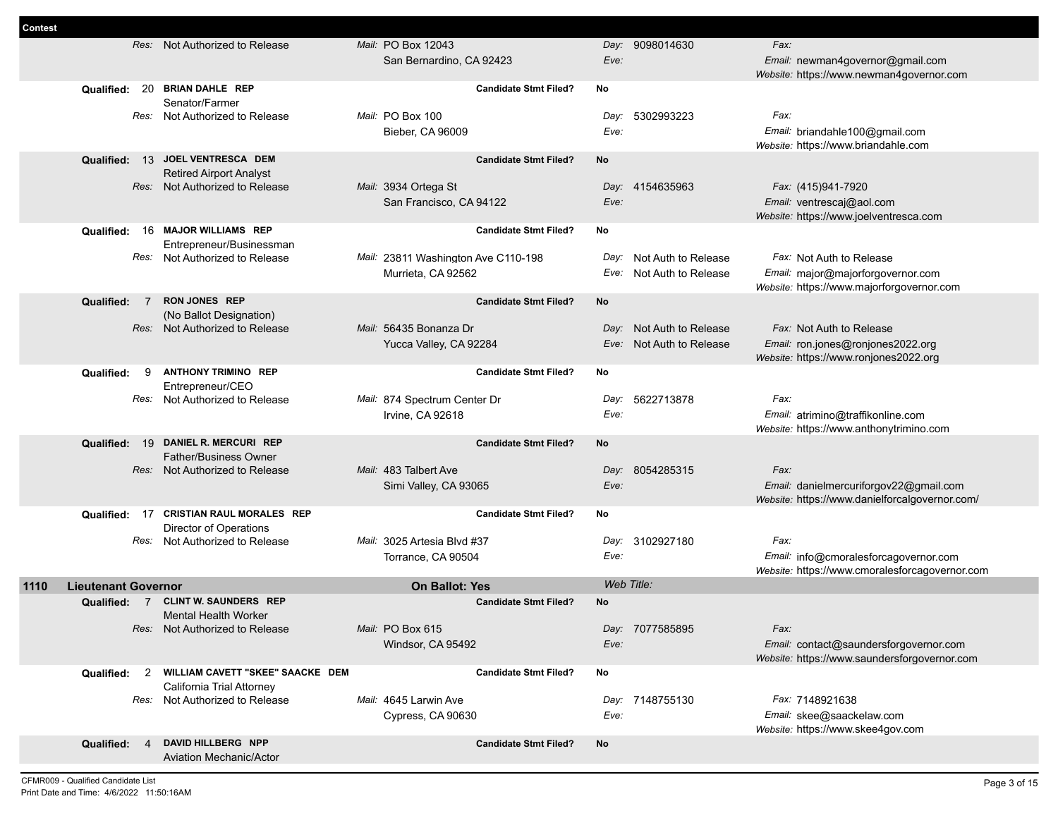| Contest |                            |                                                           |                                     |                                           |      |                          |                                                                            |
|---------|----------------------------|-----------------------------------------------------------|-------------------------------------|-------------------------------------------|------|--------------------------|----------------------------------------------------------------------------|
|         |                            | Res: Not Authorized to Release                            | Mail: PO Box 12043                  |                                           |      | Day: 9098014630          | Fax:                                                                       |
|         |                            |                                                           | San Bernardino, CA 92423            |                                           | Eve: |                          | Email: newman4governor@gmail.com                                           |
|         |                            |                                                           |                                     |                                           |      |                          | Website: https://www.newman4governor.com                                   |
|         |                            | Qualified: 20 BRIAN DAHLE REP                             |                                     | <b>Candidate Stmt Filed?</b><br>No        |      |                          |                                                                            |
|         |                            | Senator/Farmer                                            |                                     |                                           |      |                          |                                                                            |
|         |                            | Res: Not Authorized to Release                            | Mail: PO Box 100                    |                                           |      | Day: 5302993223          | Fax:                                                                       |
|         |                            |                                                           | Bieber, CA 96009                    |                                           | Eve: |                          | Email: briandahle100@gmail.com                                             |
|         | 13<br>Qualified:           | JOEL VENTRESCA DEM                                        |                                     | <b>No</b><br><b>Candidate Stmt Filed?</b> |      |                          | Website: https://www.briandahle.com                                        |
|         |                            | <b>Retired Airport Analyst</b>                            |                                     |                                           |      |                          |                                                                            |
|         |                            | Res: Not Authorized to Release                            | Mail: 3934 Ortega St                |                                           |      | Day: 4154635963          | Fax: (415)941-7920                                                         |
|         |                            |                                                           | San Francisco, CA 94122             |                                           | Eve: |                          | Email: ventrescaj@aol.com                                                  |
|         |                            |                                                           |                                     |                                           |      |                          | Website: https://www.joelventresca.com                                     |
|         | Qualified:                 | 16 MAJOR WILLIAMS REP                                     |                                     | <b>Candidate Stmt Filed?</b><br>No        |      |                          |                                                                            |
|         |                            | Entrepreneur/Businessman                                  |                                     |                                           |      |                          |                                                                            |
|         |                            | Res: Not Authorized to Release                            | Mail: 23811 Washington Ave C110-198 |                                           |      | Day: Not Auth to Release | Fax: Not Auth to Release                                                   |
|         |                            |                                                           | Murrieta, CA 92562                  |                                           |      | Eve: Not Auth to Release | Email: major@majorforgovernor.com                                          |
|         |                            |                                                           |                                     |                                           |      |                          | Website: https://www.majorforgovernor.com                                  |
|         | <b>Qualified:</b><br>7     | <b>RON JONES REP</b>                                      |                                     | <b>Candidate Stmt Filed?</b><br>No        |      |                          |                                                                            |
|         |                            | (No Ballot Designation)<br>Res: Not Authorized to Release | Mail: 56435 Bonanza Dr              |                                           |      | Day: Not Auth to Release | Fax: Not Auth to Release                                                   |
|         |                            |                                                           |                                     |                                           |      |                          |                                                                            |
|         |                            |                                                           | Yucca Valley, CA 92284              |                                           |      | Eve: Not Auth to Release | Email: ron.jones@ronjones2022.org<br>Website: https://www.ronjones2022.org |
|         | 9<br>Qualified:            | <b>ANTHONY TRIMINO REP</b>                                |                                     | <b>Candidate Stmt Filed?</b><br>No        |      |                          |                                                                            |
|         |                            | Entrepreneur/CEO                                          |                                     |                                           |      |                          |                                                                            |
|         |                            | Res: Not Authorized to Release                            | Mail: 874 Spectrum Center Dr        |                                           | Day: | 5622713878               | Fax:                                                                       |
|         |                            |                                                           | Irvine, CA 92618                    |                                           | Eve: |                          | Email: atrimino@traffikonline.com                                          |
|         |                            |                                                           |                                     |                                           |      |                          | Website: https://www.anthonytrimino.com                                    |
|         | Qualified:<br>19           | DANIEL R. MERCURI REP                                     |                                     | <b>Candidate Stmt Filed?</b><br>No        |      |                          |                                                                            |
|         |                            | <b>Father/Business Owner</b>                              |                                     |                                           |      |                          |                                                                            |
|         |                            | Res: Not Authorized to Release                            | Mail: 483 Talbert Ave               |                                           |      | Day: 8054285315          | Fax:                                                                       |
|         |                            |                                                           | Simi Valley, CA 93065               |                                           | Eve: |                          | Email: danielmercuriforgov22@gmail.com                                     |
|         |                            | <b>CRISTIAN RAUL MORALES REP</b>                          |                                     |                                           |      |                          | Website: https://www.danielforcalgovernor.com/                             |
|         | Qualified:<br>- 17         | <b>Director of Operations</b>                             |                                     | <b>Candidate Stmt Filed?</b><br>No        |      |                          |                                                                            |
|         |                            | Res: Not Authorized to Release                            | Mail: 3025 Artesia Blvd #37         |                                           |      | Day: 3102927180          | Fax:                                                                       |
|         |                            |                                                           | Torrance, CA 90504                  |                                           | Eve: |                          | Email: info@cmoralesforcagovernor.com                                      |
|         |                            |                                                           |                                     |                                           |      |                          | Website: https://www.cmoralesforcagovernor.com                             |
| 1110    | <b>Lieutenant Governor</b> |                                                           | <b>On Ballot: Yes</b>               |                                           |      | Web Title:               |                                                                            |
|         |                            | Qualified: 7 CLINT W. SAUNDERS REP                        |                                     | No<br><b>Candidate Stmt Filed?</b>        |      |                          |                                                                            |
|         |                            | <b>Mental Health Worker</b>                               |                                     |                                           |      |                          |                                                                            |
|         |                            | Res: Not Authorized to Release                            | Mail: PO Box 615                    |                                           |      | Day: 7077585895          | Fax:                                                                       |
|         |                            |                                                           | Windsor, CA 95492                   |                                           | Eve: |                          | Email: contact@saundersforgovernor.com                                     |
|         |                            |                                                           |                                     |                                           |      |                          | Website: https://www.saundersforgovernor.com                               |
|         | Qualified:<br>2            | WILLIAM CAVETT "SKEE" SAACKE DEM                          |                                     | <b>Candidate Stmt Filed?</b><br>No        |      |                          |                                                                            |
|         |                            | California Trial Attorney                                 |                                     |                                           |      |                          |                                                                            |
|         |                            | Res: Not Authorized to Release                            | Mail: 4645 Larwin Ave               |                                           |      | Day: 7148755130          | Fax: 7148921638                                                            |
|         |                            |                                                           | Cypress, CA 90630                   |                                           | Eve: |                          | Email: skee@saackelaw.com<br>Website: https://www.skee4gov.com             |
|         | Qualified:<br>4            | DAVID HILLBERG NPP                                        |                                     | <b>No</b><br><b>Candidate Stmt Filed?</b> |      |                          |                                                                            |
|         |                            | <b>Aviation Mechanic/Actor</b>                            |                                     |                                           |      |                          |                                                                            |
|         |                            |                                                           |                                     |                                           |      |                          |                                                                            |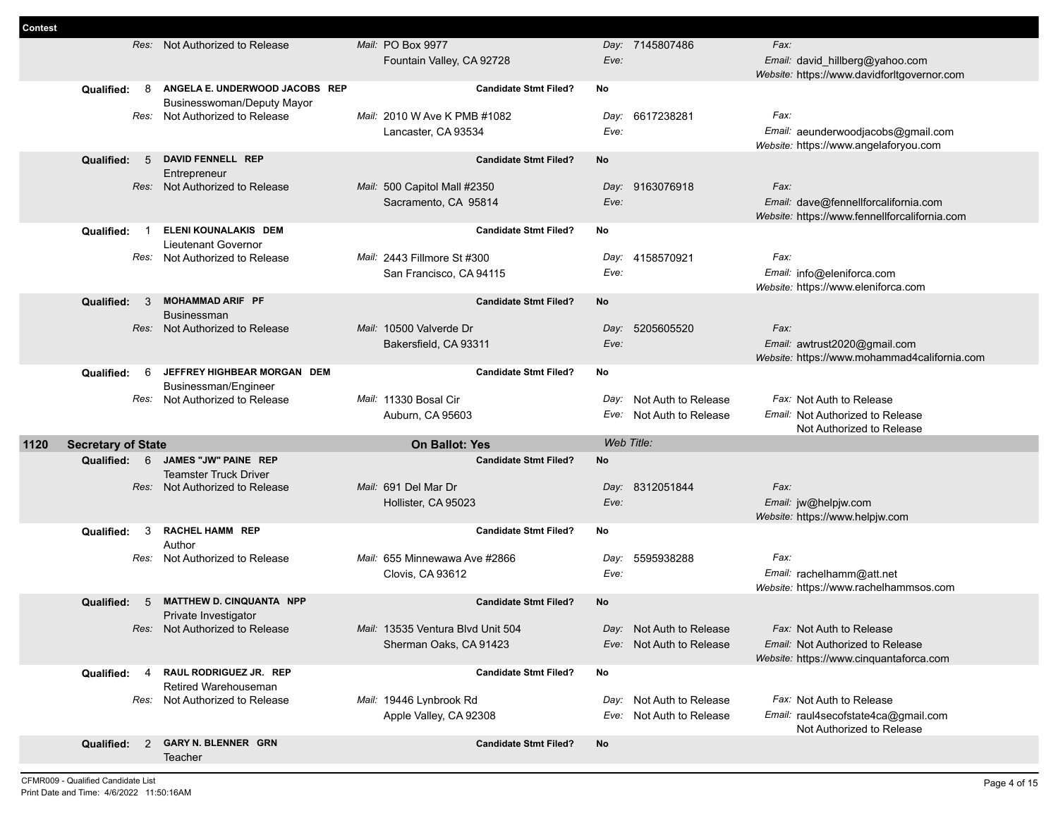| <b>Contest</b> |                           |      |                                                     |                                   |              |                          |                                                                             |
|----------------|---------------------------|------|-----------------------------------------------------|-----------------------------------|--------------|--------------------------|-----------------------------------------------------------------------------|
|                |                           |      | Res: Not Authorized to Release                      | Mail: PO Box 9977                 |              | Day: 7145807486          | Fax:                                                                        |
|                |                           |      |                                                     | Fountain Valley, CA 92728         | Eve:         |                          | Email: david_hillberg@yahoo.com                                             |
|                |                           |      |                                                     |                                   |              |                          | Website: https://www.davidforltgovernor.com                                 |
|                | Qualified:                | 8    | ANGELA E. UNDERWOOD JACOBS REP                      | <b>Candidate Stmt Filed?</b>      | No           |                          |                                                                             |
|                |                           |      | <b>Businesswoman/Deputy Mayor</b>                   |                                   |              |                          |                                                                             |
|                |                           |      | Res: Not Authorized to Release                      | Mail: 2010 W Ave K PMB #1082      | Day:<br>Eve: | 6617238281               | Fax:                                                                        |
|                |                           |      |                                                     | Lancaster, CA 93534               |              |                          | Email: aeunderwoodjacobs@gmail.com<br>Website: https://www.angelaforyou.com |
|                | <b>Qualified:</b>         | 5    | <b>DAVID FENNELL REP</b>                            | <b>Candidate Stmt Filed?</b>      | No           |                          |                                                                             |
|                |                           |      | Entrepreneur                                        |                                   |              |                          |                                                                             |
|                |                           | Res: | Not Authorized to Release                           | Mail: 500 Capitol Mall #2350      |              | Day: 9163076918          | Fax:                                                                        |
|                |                           |      |                                                     | Sacramento, CA 95814              | Eve:         |                          | Email: dave@fennellforcalifornia.com                                        |
|                |                           |      |                                                     |                                   |              |                          | Website: https://www.fennellforcalifornia.com                               |
|                | Qualified:                |      | ELENI KOUNALAKIS DEM                                | <b>Candidate Stmt Filed?</b>      | No           |                          |                                                                             |
|                |                           | Res: | Lieutenant Governor<br>Not Authorized to Release    | Mail: 2443 Fillmore St #300       | Day:         | 4158570921               | Fax:                                                                        |
|                |                           |      |                                                     | San Francisco, CA 94115           | Eve:         |                          | Email: info@eleniforca.com                                                  |
|                |                           |      |                                                     |                                   |              |                          | Website: https://www.eleniforca.com                                         |
|                | Qualified:                | 3    | <b>MOHAMMAD ARIF PF</b>                             | <b>Candidate Stmt Filed?</b>      | No           |                          |                                                                             |
|                |                           |      | <b>Businessman</b>                                  |                                   |              |                          |                                                                             |
|                |                           | Res: | Not Authorized to Release                           | Mail: 10500 Valverde Dr           | Day:         | 5205605520               | Fax:                                                                        |
|                |                           |      |                                                     | Bakersfield, CA 93311             | Eve:         |                          | Email: awtrust2020@gmail.com                                                |
|                |                           |      |                                                     |                                   |              |                          | Website: https://www.mohammad4california.com                                |
|                | Qualified:                | 6    | JEFFREY HIGHBEAR MORGAN DEM<br>Businessman/Engineer | <b>Candidate Stmt Filed?</b>      | <b>No</b>    |                          |                                                                             |
|                |                           |      |                                                     |                                   |              |                          |                                                                             |
|                |                           |      |                                                     |                                   |              |                          |                                                                             |
|                |                           | Res: | Not Authorized to Release                           | Mail: 11330 Bosal Cir             | Day:         | Not Auth to Release      | Fax: Not Auth to Release                                                    |
|                |                           |      |                                                     | Auburn, CA 95603                  |              | Eve: Not Auth to Release | <i>Email:</i> Not Authorized to Release<br>Not Authorized to Release        |
| 1120           | <b>Secretary of State</b> |      |                                                     | <b>On Ballot: Yes</b>             |              | Web Title:               |                                                                             |
|                | Qualified:                | 6    | JAMES "JW" PAINE REP                                | <b>Candidate Stmt Filed?</b>      | No           |                          |                                                                             |
|                |                           |      | <b>Teamster Truck Driver</b>                        |                                   |              |                          |                                                                             |
|                |                           | Res: | Not Authorized to Release                           | Mail: 691 Del Mar Dr              |              | Day: 8312051844          | Fax:                                                                        |
|                |                           |      |                                                     | Hollister, CA 95023               | Eve:         |                          | Email: jw@helpjw.com                                                        |
|                |                           |      |                                                     |                                   |              |                          | Website: https://www.helpjw.com                                             |
|                | Qualified:                | 3    | <b>RACHEL HAMM REP</b><br>Author                    | <b>Candidate Stmt Filed?</b>      | No           |                          |                                                                             |
|                |                           | Res: | Not Authorized to Release                           | Mail: 655 Minnewawa Ave #2866     | Day:         | 5595938288               | Fax:                                                                        |
|                |                           |      |                                                     | Clovis, CA 93612                  | Eve:         |                          | Email: rachelhamm@att.net                                                   |
|                |                           |      |                                                     |                                   |              |                          | Website: https://www.rachelhammsos.com                                      |
|                | <b>Qualified:</b>         | -5   | <b>MATTHEW D. CINQUANTA NPP</b>                     | <b>Candidate Stmt Filed?</b>      | No           |                          |                                                                             |
|                |                           |      | Private Investigator                                |                                   |              |                          |                                                                             |
|                |                           |      | Res: Not Authorized to Release                      | Mail: 13535 Ventura Blvd Unit 504 |              | Day: Not Auth to Release | Fax: Not Auth to Release                                                    |
|                |                           |      |                                                     | Sherman Oaks, CA 91423            |              | Eve: Not Auth to Release | Email: Not Authorized to Release                                            |
|                | Qualified:                | 4    | RAUL RODRIGUEZ JR. REP                              | <b>Candidate Stmt Filed?</b>      | No           |                          | Website: https://www.cinquantaforca.com                                     |
|                |                           |      | Retired Warehouseman                                |                                   |              |                          |                                                                             |
|                |                           | Res: | Not Authorized to Release                           | Mail: 19446 Lynbrook Rd           |              | Day: Not Auth to Release | Fax: Not Auth to Release                                                    |
|                |                           |      |                                                     | Apple Valley, CA 92308            | Eve:         | Not Auth to Release      | Email: raul4secofstate4ca@gmail.com                                         |
|                | Qualified:                | 2    | <b>GARY N. BLENNER GRN</b>                          | <b>Candidate Stmt Filed?</b>      | No           |                          | Not Authorized to Release                                                   |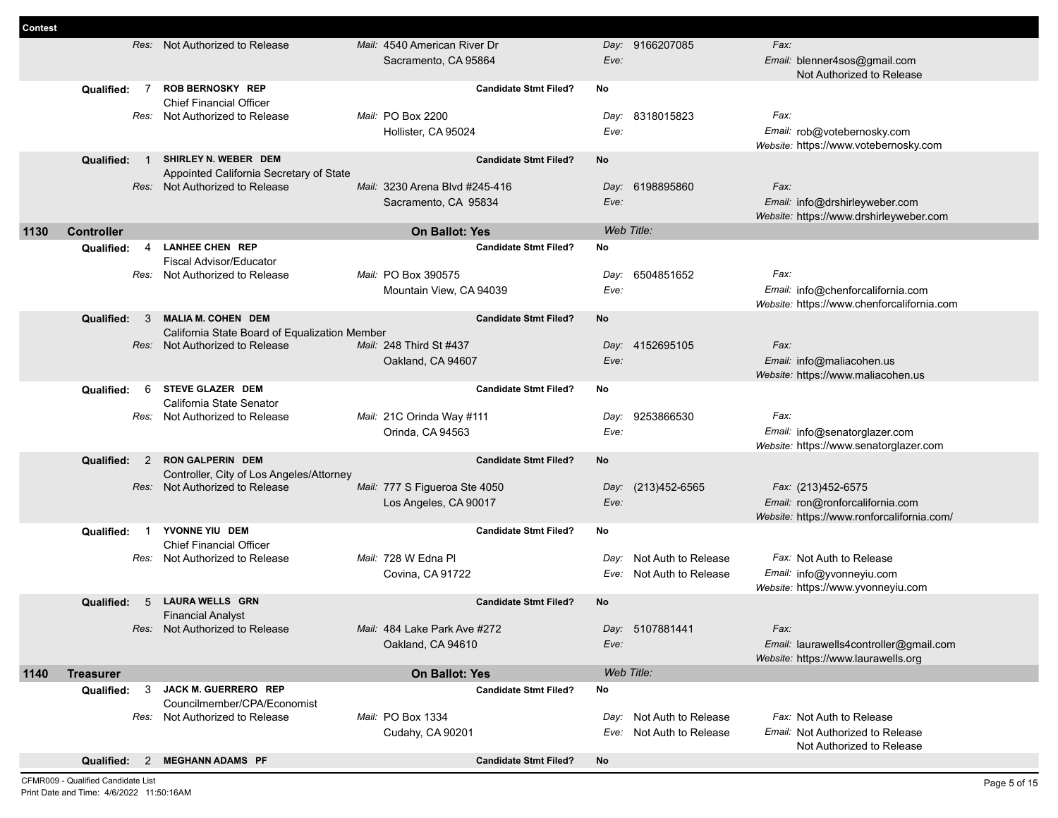| <b>Contest</b> |                                        |                                                                  |                                |                             |                                                                      |
|----------------|----------------------------------------|------------------------------------------------------------------|--------------------------------|-----------------------------|----------------------------------------------------------------------|
|                |                                        | Res: Not Authorized to Release                                   | Mail: 4540 American River Dr   | Day: 9166207085             | Fax:                                                                 |
|                |                                        |                                                                  | Sacramento, CA 95864           | Eve:                        | Email: blenner4sos@gmail.com                                         |
|                |                                        |                                                                  |                                |                             | Not Authorized to Release                                            |
|                | Qualified:                             | <b>ROB BERNOSKY REP</b><br>7                                     | <b>Candidate Stmt Filed?</b>   | No                          |                                                                      |
|                |                                        | <b>Chief Financial Officer</b><br>Res: Not Authorized to Release | Mail: PO Box 2200              | Day: 8318015823             | Fax:                                                                 |
|                |                                        |                                                                  |                                | Eve:                        |                                                                      |
|                |                                        |                                                                  | Hollister, CA 95024            |                             | Email: rob@votebernosky.com<br>Website: https://www.votebernosky.com |
|                | Qualified:                             | SHIRLEY N. WEBER DEM<br>$\overline{1}$                           | <b>Candidate Stmt Filed?</b>   | No                          |                                                                      |
|                |                                        | Appointed California Secretary of State                          |                                |                             |                                                                      |
|                |                                        | Res: Not Authorized to Release                                   | Mail: 3230 Arena Blvd #245-416 | Day: 6198895860             | Fax:                                                                 |
|                |                                        |                                                                  | Sacramento, CA 95834           | Eve:                        | Email: info@drshirleyweber.com                                       |
|                |                                        |                                                                  |                                |                             | Website: https://www.drshirleyweber.com                              |
| 1130           | <b>Controller</b>                      |                                                                  | <b>On Ballot: Yes</b>          | Web Title:                  |                                                                      |
|                | Qualified:                             | <b>LANHEE CHEN REP</b><br>4                                      | <b>Candidate Stmt Filed?</b>   | No                          |                                                                      |
|                |                                        | Fiscal Advisor/Educator                                          |                                |                             |                                                                      |
|                |                                        | Res: Not Authorized to Release                                   | Mail: PO Box 390575            | 6504851652<br>Day:          | Fax:                                                                 |
|                |                                        |                                                                  | Mountain View, CA 94039        | Eve:                        | Email: info@chenforcalifornia.com                                    |
|                |                                        | <b>MALIA M. COHEN DEM</b><br>3                                   | <b>Candidate Stmt Filed?</b>   | <b>No</b>                   | Website: https://www.chenforcalifornia.com                           |
|                | <b>Qualified:</b>                      | California State Board of Equalization Member                    |                                |                             |                                                                      |
|                |                                        | Res: Not Authorized to Release                                   | Mail: 248 Third St #437        | Day: 4152695105             | Fax:                                                                 |
|                |                                        |                                                                  | Oakland, CA 94607              | Eve:                        | Email: info@maliacohen.us                                            |
|                |                                        |                                                                  |                                |                             | Website: https://www.maliacohen.us                                   |
|                | Qualified:                             | 6<br><b>STEVE GLAZER DEM</b>                                     | <b>Candidate Stmt Filed?</b>   | No                          |                                                                      |
|                |                                        | California State Senator                                         |                                |                             |                                                                      |
|                |                                        | Res: Not Authorized to Release                                   | Mail: 21C Orinda Way #111      | 9253866530<br>Day:          | Fax:                                                                 |
|                |                                        |                                                                  | Orinda, CA 94563               | Eve:                        | Email: info@senatorglazer.com                                        |
|                | Qualified:                             | <b>RON GALPERIN DEM</b><br>2                                     | <b>Candidate Stmt Filed?</b>   | No                          | Website: https://www.senatorglazer.com                               |
|                |                                        | Controller, City of Los Angeles/Attorney                         |                                |                             |                                                                      |
|                |                                        | Res: Not Authorized to Release                                   | Mail: 777 S Figueroa Ste 4050  | (213)452-6565<br>Day:       | Fax: (213)452-6575                                                   |
|                |                                        |                                                                  | Los Angeles, CA 90017          | Eve:                        | Email: ron@ronforcalifornia.com                                      |
|                |                                        |                                                                  |                                |                             | Website: https://www.ronforcalifornia.com/                           |
|                | Qualified:<br>$\overline{\phantom{1}}$ | YVONNE YIU DEM                                                   | <b>Candidate Stmt Filed?</b>   | No                          |                                                                      |
|                |                                        | <b>Chief Financial Officer</b>                                   |                                |                             |                                                                      |
|                |                                        | Res: Not Authorized to Release                                   | Mail: 728 W Edna Pl            | Not Auth to Release<br>Day: | Fax: Not Auth to Release                                             |
|                |                                        |                                                                  | Covina, CA 91722               | Not Auth to Release<br>Eve: | Email: info@yvonneyiu.com<br>Website: https://www.yvonneyiu.com      |
|                | Qualified:                             | <b>LAURA WELLS GRN</b><br>5                                      | <b>Candidate Stmt Filed?</b>   | No                          |                                                                      |
|                |                                        | <b>Financial Analyst</b>                                         |                                |                             |                                                                      |
|                |                                        | Res: Not Authorized to Release                                   | Mail: 484 Lake Park Ave #272   | Day: 5107881441             | Fax:                                                                 |
|                |                                        |                                                                  | Oakland, CA 94610              | Eve:                        | Email: laurawells4controller@gmail.com                               |
|                |                                        |                                                                  |                                |                             | Website: https://www.laurawells.org                                  |
| 1140           | <b>Treasurer</b>                       |                                                                  | On Ballot: Yes                 | Web Title:                  |                                                                      |
|                | Qualified:                             | 3<br>JACK M. GUERRERO REP                                        | <b>Candidate Stmt Filed?</b>   | No                          |                                                                      |
|                |                                        | Councilmember/CPA/Economist                                      |                                |                             |                                                                      |
|                |                                        | Res: Not Authorized to Release                                   | Mail: PO Box 1334              | Day: Not Auth to Release    | Fax: Not Auth to Release                                             |
|                |                                        |                                                                  | Cudahy, CA 90201               | Eve: Not Auth to Release    | Email: Not Authorized to Release                                     |
|                |                                        | <b>MEGHANN ADAMS PF</b>                                          |                                |                             | Not Authorized to Release                                            |
|                | Qualified: 2                           |                                                                  | <b>Candidate Stmt Filed?</b>   | No                          |                                                                      |

CFMR009 - Qualified Candidate List Print Date and Time: 4/6/2022 11:50:16AM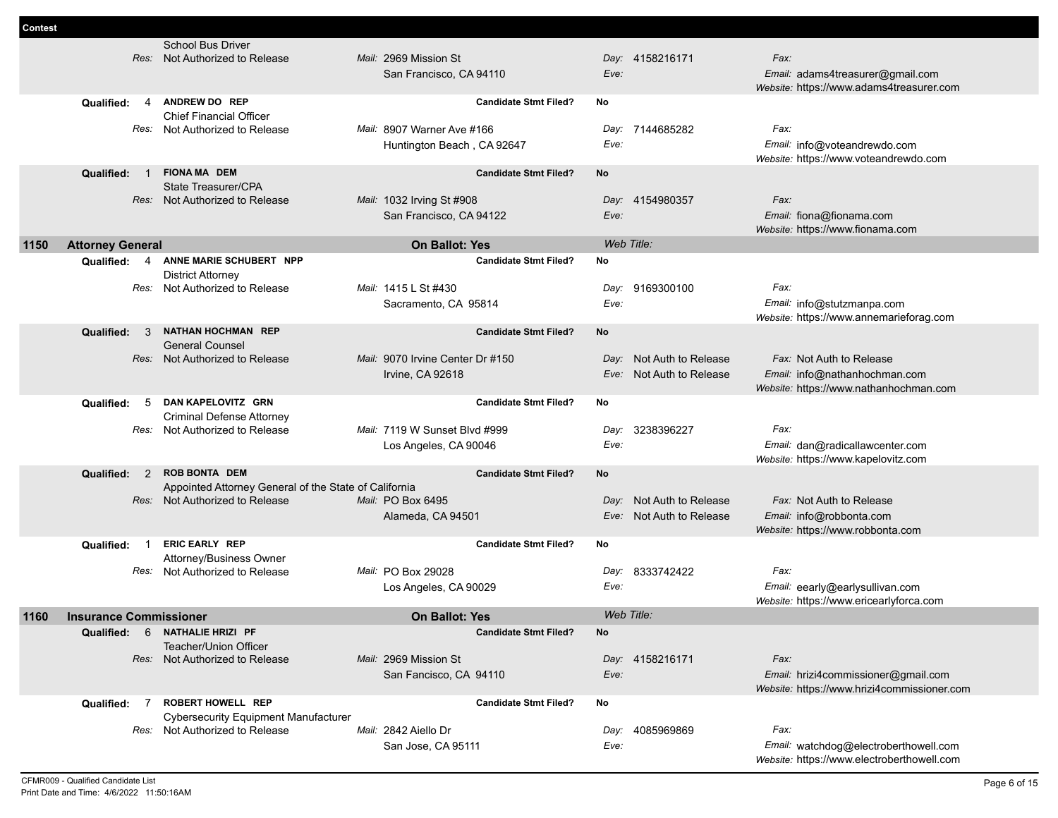|      |                                | <b>School Bus Driver</b>                                                      | Mail: 2969 Mission St            |                              |      |                          | Fax:                                                                         |
|------|--------------------------------|-------------------------------------------------------------------------------|----------------------------------|------------------------------|------|--------------------------|------------------------------------------------------------------------------|
|      |                                | Res: Not Authorized to Release                                                |                                  |                              | Eve: | Day: 4158216171          |                                                                              |
|      |                                |                                                                               | San Francisco, CA 94110          |                              |      |                          | Email: adams4treasurer@gmail.com<br>Website: https://www.adams4treasurer.com |
|      | Qualified:<br>4                | ANDREW DO REP                                                                 |                                  | <b>Candidate Stmt Filed?</b> | No   |                          |                                                                              |
|      |                                | <b>Chief Financial Officer</b>                                                |                                  |                              |      |                          |                                                                              |
|      | Res:                           | Not Authorized to Release                                                     | Mail: 8907 Warner Ave #166       |                              | Day: | 7144685282               | Fax:                                                                         |
|      |                                |                                                                               | Huntington Beach, CA 92647       |                              | Eve: |                          | Email: info@voteandrewdo.com<br>Website: https://www.voteandrewdo.com        |
|      | Qualified:<br>$\blacksquare$ 1 | <b>FIONA MA DEM</b>                                                           |                                  | <b>Candidate Stmt Filed?</b> | No   |                          |                                                                              |
|      |                                | State Treasurer/CPA                                                           |                                  |                              |      |                          |                                                                              |
|      |                                | Res: Not Authorized to Release                                                | Mail: 1032 Irving St #908        |                              |      | Day: 4154980357          | Fax:                                                                         |
|      |                                |                                                                               | San Francisco, CA 94122          |                              | Eve: |                          | Email: fiona@fionama.com                                                     |
|      |                                |                                                                               |                                  |                              |      |                          | Website: https://www.fionama.com                                             |
| 1150 | <b>Attorney General</b>        |                                                                               | <b>On Ballot: Yes</b>            |                              |      | Web Title:               |                                                                              |
|      | Qualified: 4                   | ANNE MARIE SCHUBERT NPP<br><b>District Attorney</b>                           |                                  | <b>Candidate Stmt Filed?</b> | No   |                          |                                                                              |
|      | Res:                           | Not Authorized to Release                                                     | Mail: 1415 L St #430             |                              | Day: | 9169300100               | Fax:                                                                         |
|      |                                |                                                                               | Sacramento, CA 95814             |                              | Eve: |                          | Email: info@stutzmanpa.com                                                   |
|      |                                |                                                                               |                                  |                              |      |                          | Website: https://www.annemarieforag.com                                      |
|      | Qualified:<br>- 3              | <b>NATHAN HOCHMAN REP</b>                                                     |                                  | <b>Candidate Stmt Filed?</b> | No   |                          |                                                                              |
|      |                                | <b>General Counsel</b>                                                        |                                  |                              |      |                          |                                                                              |
|      |                                | Res: Not Authorized to Release                                                | Mail: 9070 Irvine Center Dr #150 |                              | Day: | Not Auth to Release      | Fax: Not Auth to Release                                                     |
|      |                                |                                                                               | Irvine, CA 92618                 |                              |      | Eve: Not Auth to Release | Email: info@nathanhochman.com                                                |
|      |                                |                                                                               |                                  |                              |      |                          | Website: https://www.nathanhochman.com                                       |
|      | 5<br>Qualified:                | DAN KAPELOVITZ GRN                                                            |                                  | <b>Candidate Stmt Filed?</b> | No   |                          |                                                                              |
|      | Res:                           | <b>Criminal Defense Attorney</b><br>Not Authorized to Release                 | Mail: 7119 W Sunset Blvd #999    |                              | Day: | 3238396227               | Fax:                                                                         |
|      |                                |                                                                               | Los Angeles, CA 90046            |                              | Eve: |                          | Email: dan@radicallawcenter.com                                              |
|      |                                |                                                                               |                                  |                              |      |                          | Website: https://www.kapelovitz.com                                          |
|      | Qualified: 2                   | <b>ROB BONTA DEM</b>                                                          |                                  | <b>Candidate Stmt Filed?</b> | No   |                          |                                                                              |
|      |                                | Appointed Attorney General of the State of California                         |                                  |                              |      |                          |                                                                              |
|      |                                | Res: Not Authorized to Release                                                | Mail: PO Box 6495                |                              | Day: | Not Auth to Release      | Fax: Not Auth to Release                                                     |
|      |                                |                                                                               | Alameda, CA 94501                |                              |      | Eve: Not Auth to Release | Email: info@robbonta.com                                                     |
|      |                                |                                                                               |                                  |                              |      |                          | Website: https://www.robbonta.com                                            |
|      | Qualified:                     | <b>ERIC EARLY REP</b><br>Attorney/Business Owner                              |                                  | <b>Candidate Stmt Filed?</b> | No   |                          |                                                                              |
|      |                                | Res: Not Authorized to Release                                                | Mail: PO Box 29028               |                              |      | Day: 8333742422          | Fax:                                                                         |
|      |                                |                                                                               | Los Angeles, CA 90029            |                              | Eve: |                          | Email: eearly@earlysullivan.com                                              |
|      |                                |                                                                               |                                  |                              |      |                          | Website: https://www.ericearlyforca.com                                      |
| 1160 | <b>Insurance Commissioner</b>  |                                                                               | <b>On Ballot: Yes</b>            |                              |      | Web Title:               |                                                                              |
|      |                                | Qualified: 6 NATHALIE HRIZI PF                                                |                                  | <b>Candidate Stmt Filed?</b> | No   |                          |                                                                              |
|      |                                | <b>Teacher/Union Officer</b>                                                  |                                  |                              |      |                          |                                                                              |
|      |                                | Res: Not Authorized to Release                                                | Mail: 2969 Mission St            |                              |      | Day: 4158216171          | Fax:                                                                         |
|      |                                |                                                                               | San Fancisco, CA 94110           |                              | Eve: |                          | Email: hrizi4commissioner@gmail.com                                          |
|      |                                |                                                                               |                                  |                              |      |                          | Website: https://www.hrizi4commissioner.com                                  |
|      | $\overline{7}$<br>Qualified:   | <b>ROBERT HOWELL REP</b>                                                      |                                  | <b>Candidate Stmt Filed?</b> | No   |                          |                                                                              |
|      |                                | <b>Cybersecurity Equipment Manufacturer</b><br>Res: Not Authorized to Release | Mail: 2842 Aiello Dr             |                              |      | Day: 4085969869          | Fax:                                                                         |
|      |                                |                                                                               | San Jose, CA 95111               |                              | Eve: |                          | Email: watchdog@electroberthowell.com                                        |
|      |                                |                                                                               |                                  |                              |      |                          | Website: https://www.electroberthowell.com                                   |

**Contest**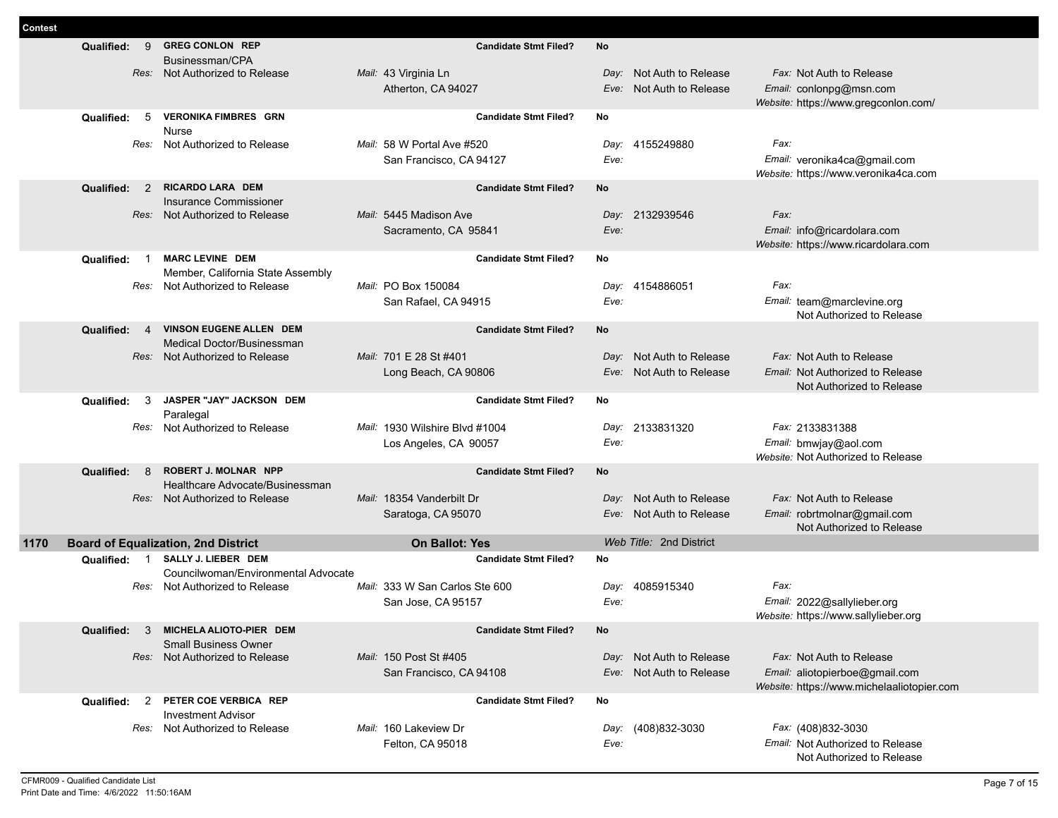| Contest |                                            |                                                                |                                           |              |                          |                                                               |
|---------|--------------------------------------------|----------------------------------------------------------------|-------------------------------------------|--------------|--------------------------|---------------------------------------------------------------|
|         | 9<br>Qualified:                            | <b>GREG CONLON REP</b><br>Businessman/CPA                      | <b>Candidate Stmt Filed?</b>              | <b>No</b>    |                          |                                                               |
|         |                                            | Res: Not Authorized to Release                                 | Mail: 43 Virginia Ln                      | Day:         | Not Auth to Release      | Fax: Not Auth to Release                                      |
|         |                                            |                                                                | Atherton, CA 94027                        | Eve:         | Not Auth to Release      | Email: conlonpg@msn.com                                       |
|         |                                            |                                                                |                                           |              |                          | Website: https://www.gregconlon.com/                          |
|         | 5<br>Qualified:                            | <b>VERONIKA FIMBRES GRN</b>                                    | <b>Candidate Stmt Filed?</b>              | No           |                          |                                                               |
|         | Res:                                       | <b>Nurse</b><br>Not Authorized to Release                      | Mail: 58 W Portal Ave #520                | Day:         | 4155249880               | Fax:                                                          |
|         |                                            |                                                                | San Francisco, CA 94127                   | Eve:         |                          | Email: veronika4ca@gmail.com                                  |
|         |                                            |                                                                |                                           |              |                          | Website: https://www.veronika4ca.com                          |
|         | 2<br>Qualified:                            | RICARDO LARA DEM                                               | <b>Candidate Stmt Filed?</b>              | <b>No</b>    |                          |                                                               |
|         |                                            | Insurance Commissioner                                         |                                           |              |                          |                                                               |
|         |                                            | Res: Not Authorized to Release                                 | Mail: 5445 Madison Ave                    |              | Day: 2132939546          | Fax:                                                          |
|         |                                            |                                                                | Sacramento, CA 95841                      | Eve:         |                          | Email: info@ricardolara.com                                   |
|         |                                            | <b>MARC LEVINE DEM</b>                                         |                                           | No           |                          | Website: https://www.ricardolara.com                          |
|         | Qualified:                                 | Member, California State Assembly                              | <b>Candidate Stmt Filed?</b>              |              |                          |                                                               |
|         | Res:                                       | Not Authorized to Release                                      | Mail: PO Box 150084                       | Day:         | 4154886051               | Fax:                                                          |
|         |                                            |                                                                | San Rafael, CA 94915                      | Eve:         |                          | Email: team@marclevine.org                                    |
|         |                                            |                                                                |                                           |              |                          | Not Authorized to Release                                     |
|         | Qualified:<br>$\overline{4}$               | VINSON EUGENE ALLEN DEM                                        | <b>Candidate Stmt Filed?</b>              | No           |                          |                                                               |
|         |                                            | <b>Medical Doctor/Businessman</b>                              |                                           |              |                          |                                                               |
|         |                                            | Res: Not Authorized to Release                                 | Mail: 701 E 28 St #401                    |              | Day: Not Auth to Release | Fax: Not Auth to Release                                      |
|         |                                            |                                                                | Long Beach, CA 90806                      | Eve:         | Not Auth to Release      | Email: Not Authorized to Release<br>Not Authorized to Release |
|         | Qualified:<br>3                            | JASPER "JAY" JACKSON DEM                                       | <b>Candidate Stmt Filed?</b>              | No           |                          |                                                               |
|         |                                            | Paralegal                                                      |                                           |              |                          |                                                               |
|         | Res:                                       | Not Authorized to Release                                      | <i>Mail:</i> 1930 Wilshire Blyd #1004     | Day:         | 2133831320               | Fax: 2133831388                                               |
|         |                                            |                                                                | Los Angeles, CA 90057                     | Eve:         |                          | Email: bmwjay@aol.com                                         |
|         |                                            |                                                                |                                           |              |                          | Website: Not Authorized to Release                            |
|         | Qualified:<br>8                            | <b>ROBERT J. MOLNAR NPP</b><br>Healthcare Advocate/Businessman | <b>Candidate Stmt Filed?</b>              | <b>No</b>    |                          |                                                               |
|         |                                            | Res: Not Authorized to Release                                 | Mail: 18354 Vanderbilt Dr                 |              | Day: Not Auth to Release | Fax: Not Auth to Release                                      |
|         |                                            |                                                                | Saratoga, CA 95070                        |              | Eve: Not Auth to Release | Email: robrtmolnar@gmail.com                                  |
|         |                                            |                                                                |                                           |              |                          | Not Authorized to Release                                     |
| 1170    | <b>Board of Equalization, 2nd District</b> |                                                                | <b>On Ballot: Yes</b>                     |              | Web Title: 2nd District  |                                                               |
|         |                                            |                                                                |                                           |              |                          |                                                               |
|         | Qualified: 1                               | SALLY J. LIEBER DEM                                            | <b>Candidate Stmt Filed?</b>              | <b>No</b>    |                          |                                                               |
|         |                                            | Councilwoman/Environmental Advocate                            |                                           |              |                          |                                                               |
|         | Res:                                       | Not Authorized to Release                                      | Mail: 333 W San Carlos Ste 600            | Day:         | 4085915340               | Fax:                                                          |
|         |                                            |                                                                | San Jose, CA 95157                        | Eve:         |                          | Email: 2022@sallylieber.org                                   |
|         |                                            |                                                                |                                           |              |                          | Website: https://www.sallylieber.org                          |
|         | Qualified:<br>3                            | MICHELA ALIOTO-PIER DEM<br><b>Small Business Owner</b>         | <b>Candidate Stmt Filed?</b>              | No           |                          |                                                               |
|         |                                            | Res: Not Authorized to Release                                 | Mail: 150 Post St #405                    |              | Day: Not Auth to Release | Fax: Not Auth to Release                                      |
|         |                                            |                                                                | San Francisco, CA 94108                   |              | Eve: Not Auth to Release | Email: aliotopierboe@gmail.com                                |
|         |                                            |                                                                |                                           |              |                          | Website: https://www.michelaaliotopier.com                    |
|         | <b>Qualified:</b><br>2                     | PETER COE VERBICA REP                                          | <b>Candidate Stmt Filed?</b>              | No           |                          |                                                               |
|         |                                            | <b>Investment Advisor</b>                                      |                                           |              |                          |                                                               |
|         | Res:                                       | Not Authorized to Release                                      | Mail: 160 Lakeview Dr<br>Felton, CA 95018 | Day:<br>Eve: | (408)832-3030            | Fax: (408)832-3030<br>Email: Not Authorized to Release        |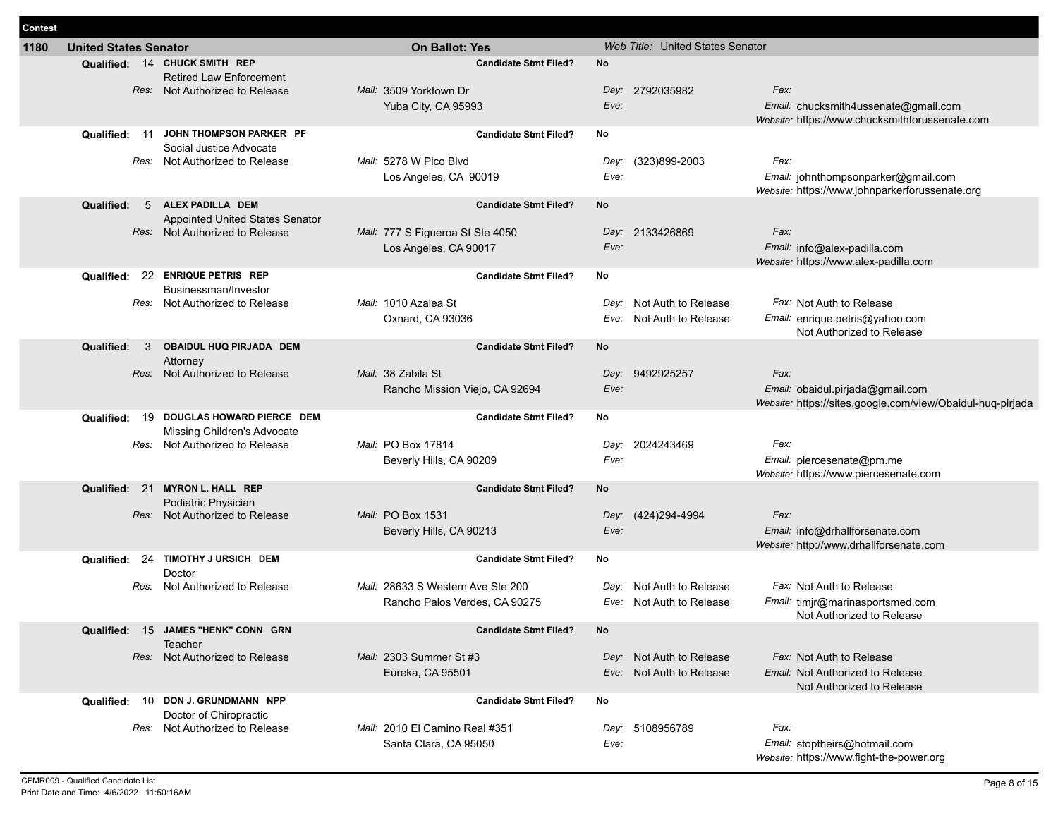| Contest |                              |                                                                                                   |                                                                               |              |                                                      |                                                                                                        |
|---------|------------------------------|---------------------------------------------------------------------------------------------------|-------------------------------------------------------------------------------|--------------|------------------------------------------------------|--------------------------------------------------------------------------------------------------------|
| 1180    | <b>United States Senator</b> |                                                                                                   | <b>On Ballot: Yes</b>                                                         |              | Web Title: United States Senator                     |                                                                                                        |
|         |                              | Qualified: 14 CHUCK SMITH REP<br><b>Retired Law Enforcement</b><br>Res: Not Authorized to Release | <b>Candidate Stmt Filed?</b><br>Mail: 3509 Yorktown Dr<br>Yuba City, CA 95993 | No<br>Eve:   | Day: 2792035982                                      | Fax:<br>Email: chucksmith4ussenate@gmail.com<br>Website: https://www.chucksmithforussenate.com         |
|         | -11<br>Qualified:            | JOHN THOMPSON PARKER PF                                                                           | <b>Candidate Stmt Filed?</b>                                                  | No           |                                                      |                                                                                                        |
|         |                              | Social Justice Advocate<br>Res: Not Authorized to Release                                         | Mail: 5278 W Pico Blvd<br>Los Angeles, CA 90019                               | Day:<br>Eve: | (323)899-2003                                        | Fax:<br>Email: johnthompsonparker@gmail.com<br>Website: https://www.johnparkerforussenate.org          |
|         | Qualified:<br>5              | ALEX PADILLA DEM                                                                                  | <b>Candidate Stmt Filed?</b>                                                  | No           |                                                      |                                                                                                        |
|         |                              | Appointed United States Senator<br>Res: Not Authorized to Release                                 | Mail: 777 S Figueroa St Ste 4050<br>Los Angeles, CA 90017                     | Eve:         | Day: 2133426869                                      | Fax:<br>Email: info@alex-padilla.com<br>Website: https://www.alex-padilla.com                          |
|         |                              | Qualified: 22 ENRIQUE PETRIS REP                                                                  | <b>Candidate Stmt Filed?</b>                                                  | No           |                                                      |                                                                                                        |
|         |                              | Businessman/Investor<br>Res: Not Authorized to Release                                            | Mail: 1010 Azalea St<br>Oxnard, CA 93036                                      | Day:<br>Eve: | Not Auth to Release<br>Not Auth to Release           | Fax: Not Auth to Release<br>Email: enrique.petris@yahoo.com<br>Not Authorized to Release               |
|         | Qualified:<br>3              | OBAIDUL HUQ PIRJADA DEM                                                                           | <b>Candidate Stmt Filed?</b>                                                  | No           |                                                      |                                                                                                        |
|         |                              | Attorney<br>Res: Not Authorized to Release                                                        | Mail: 38 Zabila St<br>Rancho Mission Viejo, CA 92694                          | Eve:         | Day: 9492925257                                      | Fax:<br>Email: obaidul.pirjada@gmail.com<br>Website: https://sites.google.com/view/Obaidul-hug-pirjada |
|         | Qualified:<br>19             | DOUGLAS HOWARD PIERCE DEM                                                                         | <b>Candidate Stmt Filed?</b>                                                  | No           |                                                      |                                                                                                        |
|         |                              | Missing Children's Advocate<br>Res: Not Authorized to Release                                     | Mail: PO Box 17814<br>Beverly Hills, CA 90209                                 | Day:<br>Eve: | 2024243469                                           | Fax:<br>Email: piercesenate@pm.me<br>Website: https://www.piercesenate.com                             |
|         | Qualified: 21                | <b>MYRON L. HALL REP</b>                                                                          | <b>Candidate Stmt Filed?</b>                                                  | No           |                                                      |                                                                                                        |
|         | Res:                         | Podiatric Physician<br>Not Authorized to Release                                                  | Mail: PO Box 1531                                                             |              | Day: (424)294-4994                                   | Fax:                                                                                                   |
|         |                              |                                                                                                   | Beverly Hills, CA 90213                                                       | Eve:         |                                                      | Email: info@drhallforsenate.com<br>Website: http://www.drhallforsenate.com                             |
|         | 24<br>Qualified:             | TIMOTHY J URSICH DEM<br>Doctor                                                                    | <b>Candidate Stmt Filed?</b>                                                  | No           |                                                      |                                                                                                        |
|         | Res:                         | Not Authorized to Release                                                                         | Mail: 28633 S Western Ave Ste 200<br>Rancho Palos Verdes, CA 90275            | Day:<br>Eve: | Not Auth to Release<br>Not Auth to Release           | Fax: Not Auth to Release<br>Email: timjr@marinasportsmed.com<br>Not Authorized to Release              |
|         |                              | Qualified: 15 JAMES "HENK" CONN GRN                                                               | <b>Candidate Stmt Filed?</b>                                                  | No           |                                                      |                                                                                                        |
|         |                              | Teacher<br>Res: Not Authorized to Release                                                         | Mail: 2303 Summer St #3<br>Eureka, CA 95501                                   |              | Day: Not Auth to Release<br>Eve: Not Auth to Release | Fax: Not Auth to Release<br>Email: Not Authorized to Release<br>Not Authorized to Release              |
|         |                              | Qualified: 10 DON J. GRUNDMANN NPP<br>Doctor of Chiropractic                                      | <b>Candidate Stmt Filed?</b>                                                  | No           |                                                      |                                                                                                        |
|         |                              | Res: Not Authorized to Release                                                                    | Mail: 2010 El Camino Real #351<br>Santa Clara, CA 95050                       | Eve:         | Day: 5108956789                                      | Fax:<br>Email: stoptheirs@hotmail.com<br>Website: https://www.fight-the-power.org                      |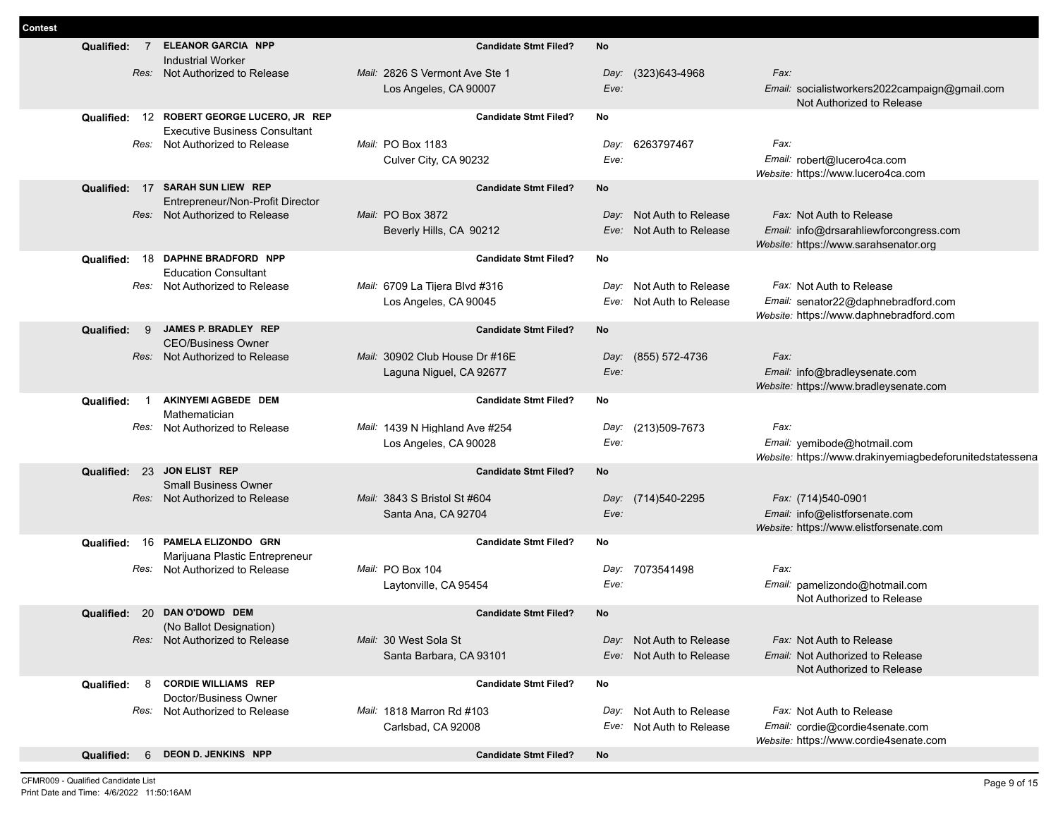| Contest |                   |                |                                                                                    |                                                         |              |                          |                                                                                                 |
|---------|-------------------|----------------|------------------------------------------------------------------------------------|---------------------------------------------------------|--------------|--------------------------|-------------------------------------------------------------------------------------------------|
|         | Qualified:        | $\overline{7}$ | <b>ELEANOR GARCIA NPP</b><br><b>Industrial Worker</b>                              | <b>Candidate Stmt Filed?</b>                            | No           |                          |                                                                                                 |
|         |                   |                | Res: Not Authorized to Release                                                     | Mail: 2826 S Vermont Ave Ste 1                          | Day:         | (323)643-4968            | Fax:                                                                                            |
|         |                   |                |                                                                                    | Los Angeles, CA 90007                                   | Eve:         |                          | Email: socialistworkers2022campaign@gmail.com<br>Not Authorized to Release                      |
|         |                   |                | Qualified: 12 ROBERT GEORGE LUCERO, JR REP<br><b>Executive Business Consultant</b> | <b>Candidate Stmt Filed?</b>                            | No           |                          |                                                                                                 |
|         |                   |                | Res: Not Authorized to Release                                                     | Mail: PO Box 1183                                       | Day:         | 6263797467               | Fax:                                                                                            |
|         |                   |                |                                                                                    | Culver City, CA 90232                                   | Eve:         |                          | Email: robert@lucero4ca.com<br>Website: https://www.lucero4ca.com                               |
|         |                   |                | Qualified: 17 SARAH SUN LIEW REP<br>Entrepreneur/Non-Profit Director               | <b>Candidate Stmt Filed?</b>                            | No           |                          |                                                                                                 |
|         |                   |                | Res: Not Authorized to Release                                                     | Mail: PO Box 3872                                       |              | Day: Not Auth to Release | Fax: Not Auth to Release                                                                        |
|         |                   |                |                                                                                    | Beverly Hills, CA 90212                                 |              | Eve: Not Auth to Release | Email: info@drsarahliewforcongress.com<br>Website: https://www.sarahsenator.org                 |
|         |                   |                | Qualified: 18 DAPHNE BRADFORD NPP<br><b>Education Consultant</b>                   | <b>Candidate Stmt Filed?</b>                            | No           |                          |                                                                                                 |
|         |                   |                | Res: Not Authorized to Release                                                     | Mail: 6709 La Tiiera Blvd #316                          | Day:         | Not Auth to Release      | Fax: Not Auth to Release                                                                        |
|         |                   |                |                                                                                    | Los Angeles, CA 90045                                   | Eve:         | Not Auth to Release      | Email: senator22@daphnebradford.com<br>Website: https://www.daphnebradford.com                  |
|         | Qualified:        | - 9            | JAMES P. BRADLEY REP<br><b>CEO/Business Owner</b>                                  | <b>Candidate Stmt Filed?</b>                            | No           |                          |                                                                                                 |
|         |                   |                | Res: Not Authorized to Release                                                     | Mail: 30902 Club House Dr #16E                          |              | Day: (855) 572-4736      | Fax:                                                                                            |
|         |                   |                |                                                                                    | Laguna Niguel, CA 92677                                 | Eve:         |                          | Email: info@bradleysenate.com<br>Website: https://www.bradleysenate.com                         |
|         | Qualified:        | $\overline{1}$ | AKINYEMI AGBEDE DEM<br>Mathematician                                               | <b>Candidate Stmt Filed?</b>                            | No           |                          |                                                                                                 |
|         |                   | Res:           | Not Authorized to Release                                                          | Mail: 1439 N Highland Ave #254<br>Los Angeles, CA 90028 | Day:<br>Eve: | (213)509-7673            | Fax:<br>Email: yemibode@hotmail.com<br>Website: https://www.drakinyemiagbedeforunitedstatessena |
|         |                   |                | Qualified: 23 JON ELIST REP                                                        | <b>Candidate Stmt Filed?</b>                            | No           |                          |                                                                                                 |
|         |                   |                | <b>Small Business Owner</b><br>Res: Not Authorized to Release                      | Mail: 3843 S Bristol St #604                            |              | Day: (714)540-2295       | Fax: (714)540-0901                                                                              |
|         |                   |                |                                                                                    | Santa Ana, CA 92704                                     | Eve:         |                          | Email: info@elistforsenate.com                                                                  |
|         |                   |                |                                                                                    |                                                         |              |                          | Website: https://www.elistforsenate.com                                                         |
|         | Qualified:        |                | 16 PAMELA ELIZONDO GRN<br>Marijuana Plastic Entrepreneur                           | <b>Candidate Stmt Filed?</b>                            | No           |                          |                                                                                                 |
|         |                   |                | Res: Not Authorized to Release                                                     | Mail: PO Box 104                                        | Day:         | 7073541498               | Fax:                                                                                            |
|         |                   |                |                                                                                    | Laytonville, CA 95454                                   | Eve:         |                          | Email: pamelizondo@hotmail.com<br>Not Authorized to Release                                     |
|         |                   |                | Qualified: 20 DAN O'DOWD DEM<br>(No Ballot Designation)                            | <b>Candidate Stmt Filed?</b>                            | No           |                          |                                                                                                 |
|         |                   |                | Res: Not Authorized to Release                                                     | Mail: 30 West Sola St                                   |              | Day: Not Auth to Release | Fax: Not Auth to Release                                                                        |
|         |                   |                |                                                                                    | Santa Barbara, CA 93101                                 |              | Eve: Not Auth to Release | Email: Not Authorized to Release<br>Not Authorized to Release                                   |
|         | Qualified: 8      |                | <b>CORDIE WILLIAMS REP</b><br>Doctor/Business Owner                                | <b>Candidate Stmt Filed?</b>                            | No           |                          |                                                                                                 |
|         |                   |                | Res: Not Authorized to Release                                                     | Mail: 1818 Marron Rd #103                               | Day:         | Not Auth to Release      | Fax: Not Auth to Release                                                                        |
|         |                   |                |                                                                                    | Carlsbad, CA 92008                                      | Eve:         | Not Auth to Release      | Email: cordie@cordie4senate.com<br>Website: https://www.cordie4senate.com                       |
|         | <b>Qualified:</b> | -6             | <b>DEON D. JENKINS NPP</b>                                                         | <b>Candidate Stmt Filed?</b>                            | No           |                          |                                                                                                 |
|         |                   |                |                                                                                    |                                                         |              |                          |                                                                                                 |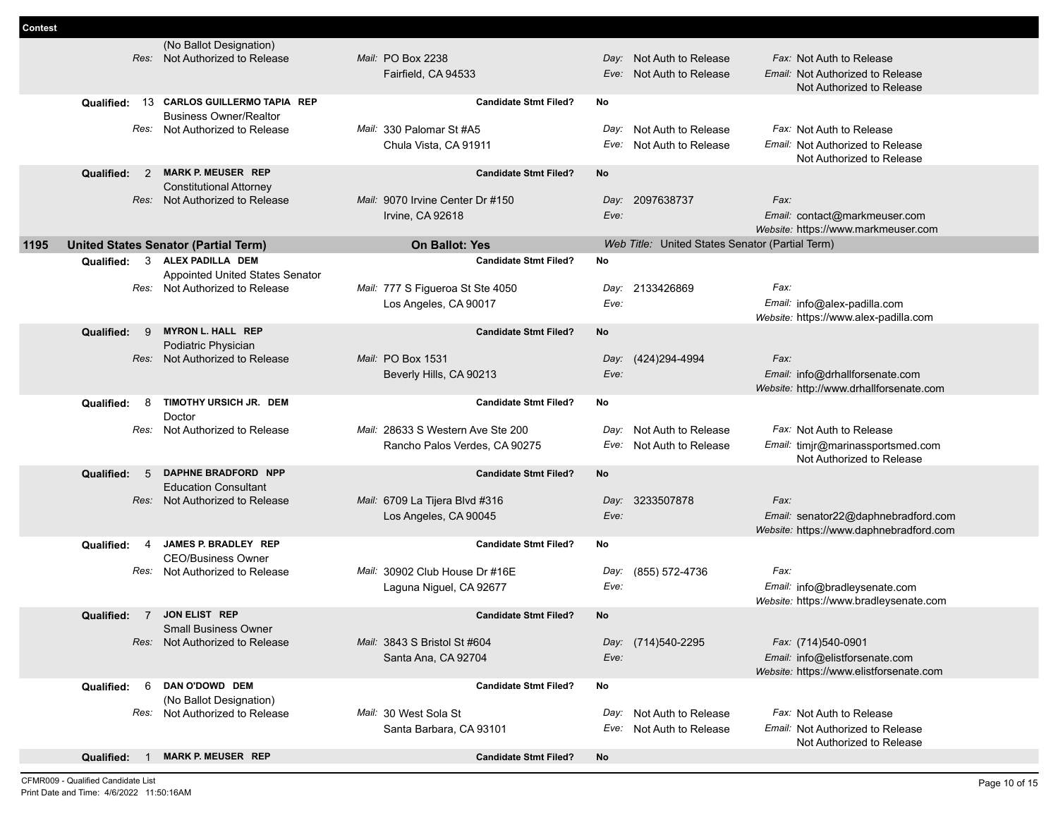| <b>Contest</b> |            |                |                                                        |                                   |                              |              |                                                 |      |                                                                         |
|----------------|------------|----------------|--------------------------------------------------------|-----------------------------------|------------------------------|--------------|-------------------------------------------------|------|-------------------------------------------------------------------------|
|                |            |                | (No Ballot Designation)                                |                                   |                              |              |                                                 |      |                                                                         |
|                |            |                | Res: Not Authorized to Release                         | Mail: PO Box 2238                 |                              | Day:         | Not Auth to Release                             |      | Fax: Not Auth to Release                                                |
|                |            |                |                                                        | Fairfield, CA 94533               |                              | Eve:         | Not Auth to Release                             |      | Email: Not Authorized to Release                                        |
|                |            |                |                                                        |                                   |                              |              |                                                 |      | Not Authorized to Release                                               |
|                | Qualified: | 13             | <b>CARLOS GUILLERMO TAPIA REP</b>                      |                                   | <b>Candidate Stmt Filed?</b> | No           |                                                 |      |                                                                         |
|                |            |                | <b>Business Owner/Realtor</b>                          |                                   |                              |              |                                                 |      |                                                                         |
|                |            |                | Res: Not Authorized to Release                         | Mail: 330 Palomar St #A5          |                              | Day:         | Not Auth to Release                             |      | Fax: Not Auth to Release                                                |
|                |            |                |                                                        | Chula Vista, CA 91911             |                              |              | Eve: Not Auth to Release                        |      | Email: Not Authorized to Release                                        |
|                |            |                |                                                        |                                   |                              |              |                                                 |      | Not Authorized to Release                                               |
|                | Qualified: | 2              | <b>MARK P. MEUSER REP</b>                              |                                   | <b>Candidate Stmt Filed?</b> | <b>No</b>    |                                                 |      |                                                                         |
|                |            |                | <b>Constitutional Attorney</b>                         |                                   |                              |              |                                                 |      |                                                                         |
|                |            |                | Res: Not Authorized to Release                         | Mail: 9070 Irvine Center Dr #150  |                              |              | Day: 2097638737                                 | Fax: |                                                                         |
|                |            |                |                                                        | Irvine, CA 92618                  |                              | Eve:         |                                                 |      | Email: contact@markmeuser.com                                           |
|                |            |                |                                                        |                                   |                              |              |                                                 |      | Website: https://www.markmeuser.com                                     |
| 1195           |            |                | <b>United States Senator (Partial Term)</b>            | <b>On Ballot: Yes</b>             |                              |              | Web Title: United States Senator (Partial Term) |      |                                                                         |
|                | Qualified: |                | 3 ALEX PADILLA DEM                                     |                                   | <b>Candidate Stmt Filed?</b> | No           |                                                 |      |                                                                         |
|                |            |                | <b>Appointed United States Senator</b>                 |                                   |                              |              |                                                 |      |                                                                         |
|                |            |                | Res: Not Authorized to Release                         | Mail: 777 S Figueroa St Ste 4050  |                              | Day:         | 2133426869                                      | Fax: |                                                                         |
|                |            |                |                                                        | Los Angeles, CA 90017             |                              | Eve:         |                                                 |      | Email: info@alex-padilla.com                                            |
|                |            |                | <b>MYRON L. HALL REP</b>                               |                                   |                              |              |                                                 |      | Website: https://www.alex-padilla.com                                   |
|                | Qualified: | 9              |                                                        |                                   | <b>Candidate Stmt Filed?</b> | No           |                                                 |      |                                                                         |
|                |            |                | Podiatric Physician<br>Res: Not Authorized to Release  | Mail: PO Box 1531                 |                              |              | Day: (424)294-4994                              | Fax: |                                                                         |
|                |            |                |                                                        | Beverly Hills, CA 90213           |                              | Eve:         |                                                 |      | Email: info@drhallforsenate.com                                         |
|                |            |                |                                                        |                                   |                              |              |                                                 |      | Website: http://www.drhallforsenate.com                                 |
|                | Qualified: | 8              | TIMOTHY URSICH JR. DEM                                 |                                   | <b>Candidate Stmt Filed?</b> | No           |                                                 |      |                                                                         |
|                |            |                | Doctor                                                 |                                   |                              |              |                                                 |      |                                                                         |
|                |            |                | Res: Not Authorized to Release                         | Mail: 28633 S Western Ave Ste 200 |                              | Day:         | Not Auth to Release                             |      | Fax: Not Auth to Release                                                |
|                |            |                |                                                        | Rancho Palos Verdes, CA 90275     |                              | Eve:         | Not Auth to Release                             |      | Email: timjr@marinassportsmed.com                                       |
|                |            |                |                                                        |                                   |                              |              |                                                 |      | Not Authorized to Release                                               |
|                | Qualified: | 5              | DAPHNE BRADFORD NPP                                    |                                   | <b>Candidate Stmt Filed?</b> | No           |                                                 |      |                                                                         |
|                |            |                | <b>Education Consultant</b>                            |                                   |                              |              |                                                 |      |                                                                         |
|                |            |                | Res: Not Authorized to Release                         | Mail: 6709 La Tijera Blvd #316    |                              |              | Day: 3233507878                                 | Fax: |                                                                         |
|                |            |                |                                                        | Los Angeles, CA 90045             |                              | Eve:         |                                                 |      | Email: senator22@daphnebradford.com                                     |
|                |            |                |                                                        |                                   |                              |              |                                                 |      | Website: https://www.daphnebradford.com                                 |
|                | Qualified: | 4              | JAMES P. BRADLEY REP                                   |                                   | <b>Candidate Stmt Filed?</b> | No           |                                                 |      |                                                                         |
|                |            | Res:           | <b>CEO/Business Owner</b><br>Not Authorized to Release | Mail: 30902 Club House Dr #16E    |                              |              | (855) 572-4736                                  | Fax: |                                                                         |
|                |            |                |                                                        |                                   |                              | Day:<br>Eve: |                                                 |      |                                                                         |
|                |            |                |                                                        | Laguna Niguel, CA 92677           |                              |              |                                                 |      | Email: info@bradleysenate.com<br>Website: https://www.bradleysenate.com |
|                | Qualified: | $\overline{7}$ | <b>JON ELIST REP</b>                                   |                                   | <b>Candidate Stmt Filed?</b> | <b>No</b>    |                                                 |      |                                                                         |
|                |            |                | <b>Small Business Owner</b>                            |                                   |                              |              |                                                 |      |                                                                         |
|                |            |                | Res: Not Authorized to Release                         | Mail: 3843 S Bristol St #604      |                              |              | Day: (714)540-2295                              |      | Fax: (714)540-0901                                                      |
|                |            |                |                                                        | Santa Ana, CA 92704               |                              | Eve:         |                                                 |      | Email: info@elistforsenate.com                                          |
|                |            |                |                                                        |                                   |                              |              |                                                 |      | Website: https://www.elistforsenate.com                                 |
|                | Qualified: | 6              | DAN O'DOWD DEM                                         |                                   | <b>Candidate Stmt Filed?</b> | No           |                                                 |      |                                                                         |
|                |            |                | (No Ballot Designation)                                |                                   |                              |              |                                                 |      |                                                                         |
|                |            |                | Res: Not Authorized to Release                         | Mail: 30 West Sola St             |                              | Day:         | Not Auth to Release                             |      | Fax: Not Auth to Release                                                |
|                |            |                |                                                        | Santa Barbara, CA 93101           |                              |              | Eve: Not Auth to Release                        |      | Email: Not Authorized to Release                                        |
|                |            |                |                                                        |                                   |                              |              |                                                 |      | Not Authorized to Release                                               |
|                | Qualified: | -1             | <b>MARK P. MEUSER REP</b>                              |                                   | <b>Candidate Stmt Filed?</b> | No           |                                                 |      |                                                                         |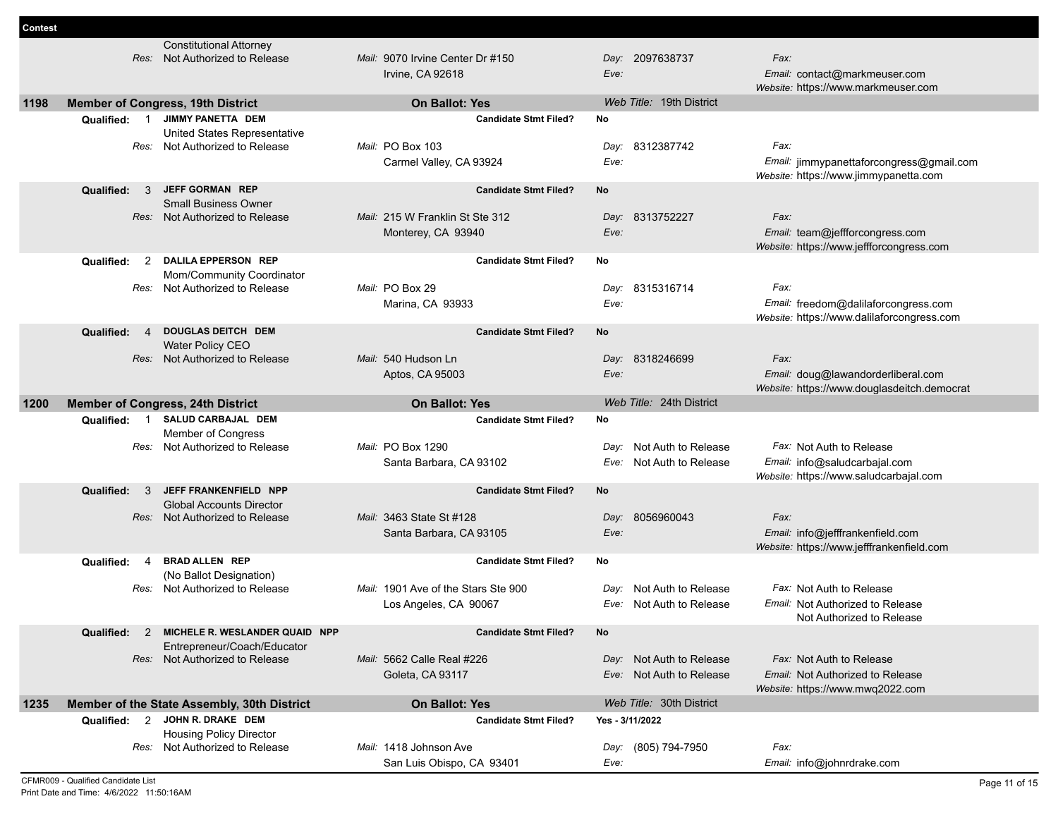|      |                              | <b>Constitutional Attorney</b>                                                |                                                       |                 |                          |                                                                         |
|------|------------------------------|-------------------------------------------------------------------------------|-------------------------------------------------------|-----------------|--------------------------|-------------------------------------------------------------------------|
|      |                              | Res: Not Authorized to Release                                                | Mail: 9070 Irvine Center Dr #150                      |                 | Day: 2097638737          | Fax:                                                                    |
|      |                              |                                                                               | Irvine, CA 92618                                      | Eve:            |                          | Email: contact@markmeuser.com                                           |
|      |                              |                                                                               |                                                       |                 |                          | Website: https://www.markmeuser.com                                     |
| 1198 |                              | <b>Member of Congress, 19th District</b>                                      | <b>On Ballot: Yes</b>                                 |                 | Web Title: 19th District |                                                                         |
|      |                              | Qualified: 1 JIMMY PANETTA DEM                                                | <b>Candidate Stmt Filed?</b>                          | No              |                          |                                                                         |
|      |                              | United States Representative                                                  |                                                       |                 |                          |                                                                         |
|      | Res:                         | Not Authorized to Release                                                     | Mail: PO Box 103                                      | Day:            | 8312387742               | Fax:                                                                    |
|      |                              |                                                                               | Carmel Valley, CA 93924                               | Eve:            |                          | Email: jimmypanettaforcongress@gmail.com                                |
|      | Qualified:<br>3              | <b>JEFF GORMAN REP</b>                                                        | <b>Candidate Stmt Filed?</b>                          | No              |                          | Website: https://www.jimmypanetta.com                                   |
|      |                              | <b>Small Business Owner</b>                                                   |                                                       |                 |                          |                                                                         |
|      |                              | Res: Not Authorized to Release                                                | Mail: 215 W Franklin St Ste 312                       |                 | Day: 8313752227          | Fax:                                                                    |
|      |                              |                                                                               | Monterey, CA 93940                                    | Eve:            |                          | Email: team@jeffforcongress.com                                         |
|      |                              |                                                                               |                                                       |                 |                          | Website: https://www.jeffforcongress.com                                |
|      | Qualified:<br>2              | <b>DALILA EPPERSON REP</b>                                                    | <b>Candidate Stmt Filed?</b>                          | No              |                          |                                                                         |
|      | Res:                         | Mom/Community Coordinator<br>Not Authorized to Release                        | Mail: PO Box 29                                       | Day:            | 8315316714               | Fax:                                                                    |
|      |                              |                                                                               | Marina, CA 93933                                      | Eve:            |                          | Email: freedom@dalilaforcongress.com                                    |
|      |                              |                                                                               |                                                       |                 |                          | Website: https://www.dalilaforcongress.com                              |
|      | Qualified:<br>$\overline{4}$ | <b>DOUGLAS DEITCH DEM</b>                                                     | <b>Candidate Stmt Filed?</b>                          | <b>No</b>       |                          |                                                                         |
|      |                              | Water Policy CEO                                                              |                                                       |                 |                          |                                                                         |
|      |                              | Res: Not Authorized to Release                                                | Mail: 540 Hudson Ln                                   | Day:            | 8318246699               | Fax:                                                                    |
|      |                              |                                                                               | Aptos, CA 95003                                       | Eve:            |                          | Email: doug@lawandorderliberal.com                                      |
|      |                              |                                                                               |                                                       |                 |                          | Website: https://www.douglasdeitch.democrat                             |
| 1200 |                              | <b>Member of Congress, 24th District</b>                                      | <b>On Ballot: Yes</b>                                 |                 | Web Title: 24th District |                                                                         |
|      | Qualified:<br>$\overline{1}$ | SALUD CARBAJAL DEM<br><b>Member of Congress</b>                               | <b>Candidate Stmt Filed?</b>                          | No              |                          |                                                                         |
|      |                              |                                                                               |                                                       |                 |                          |                                                                         |
|      |                              |                                                                               |                                                       |                 |                          |                                                                         |
|      | Res:                         | Not Authorized to Release                                                     | Mail: PO Box 1290                                     | Dav:            | Not Auth to Release      | Fax: Not Auth to Release                                                |
|      |                              |                                                                               | Santa Barbara, CA 93102                               | Eve:            | Not Auth to Release      | Email: info@saludcarbajal.com<br>Website: https://www.saludcarbajal.com |
|      | Qualified:<br>$\mathbf{3}$   | JEFF FRANKENFIELD NPP                                                         | <b>Candidate Stmt Filed?</b>                          | No              |                          |                                                                         |
|      |                              | <b>Global Accounts Director</b>                                               |                                                       |                 |                          |                                                                         |
|      |                              | Res: Not Authorized to Release                                                | Mail: 3463 State St #128                              | Day:            | 8056960043               | Fax:                                                                    |
|      |                              |                                                                               | Santa Barbara, CA 93105                               | Eve:            |                          | Email: info@jefffrankenfield.com                                        |
|      |                              |                                                                               |                                                       |                 |                          | Website: https://www.jefffrankenfield.com                               |
|      | $\overline{4}$<br>Qualified: | <b>BRAD ALLEN REP</b>                                                         | <b>Candidate Stmt Filed?</b>                          | No              |                          |                                                                         |
|      | Res:                         | (No Ballot Designation)<br>Not Authorized to Release                          | Mail: 1901 Ave of the Stars Ste 900                   | Day:            | Not Auth to Release      | Fax: Not Auth to Release                                                |
|      |                              |                                                                               | Los Angeles, CA 90067                                 |                 | Eve: Not Auth to Release | Email: Not Authorized to Release                                        |
|      |                              |                                                                               |                                                       |                 |                          | Not Authorized to Release                                               |
|      |                              | Qualified: 2 MICHELE R. WESLANDER QUAID NPP                                   | <b>Candidate Stmt Filed?</b>                          |                 |                          |                                                                         |
|      |                              | Entrepreneur/Coach/Educator                                                   |                                                       |                 |                          |                                                                         |
|      |                              | Res: Not Authorized to Release                                                | Mail: 5662 Calle Real #226                            |                 | Day: Not Auth to Release | Fax: Not Auth to Release                                                |
|      |                              |                                                                               | Goleta, CA 93117                                      |                 | Eve: Not Auth to Release | Email: Not Authorized to Release                                        |
| 1235 |                              |                                                                               |                                                       |                 | Web Title: 30th District | Website: https://www.mwq2022.com                                        |
|      |                              | Member of the State Assembly, 30th District<br>Qualified: 2 JOHN R. DRAKE DEM | <b>On Ballot: Yes</b><br><b>Candidate Stmt Filed?</b> | Yes - 3/11/2022 |                          |                                                                         |
|      |                              | <b>Housing Policy Director</b>                                                |                                                       |                 |                          |                                                                         |
|      |                              | Res: Not Authorized to Release                                                | Mail: 1418 Johnson Ave                                |                 | Day: (805) 794-7950      | Fax:                                                                    |

**Contest**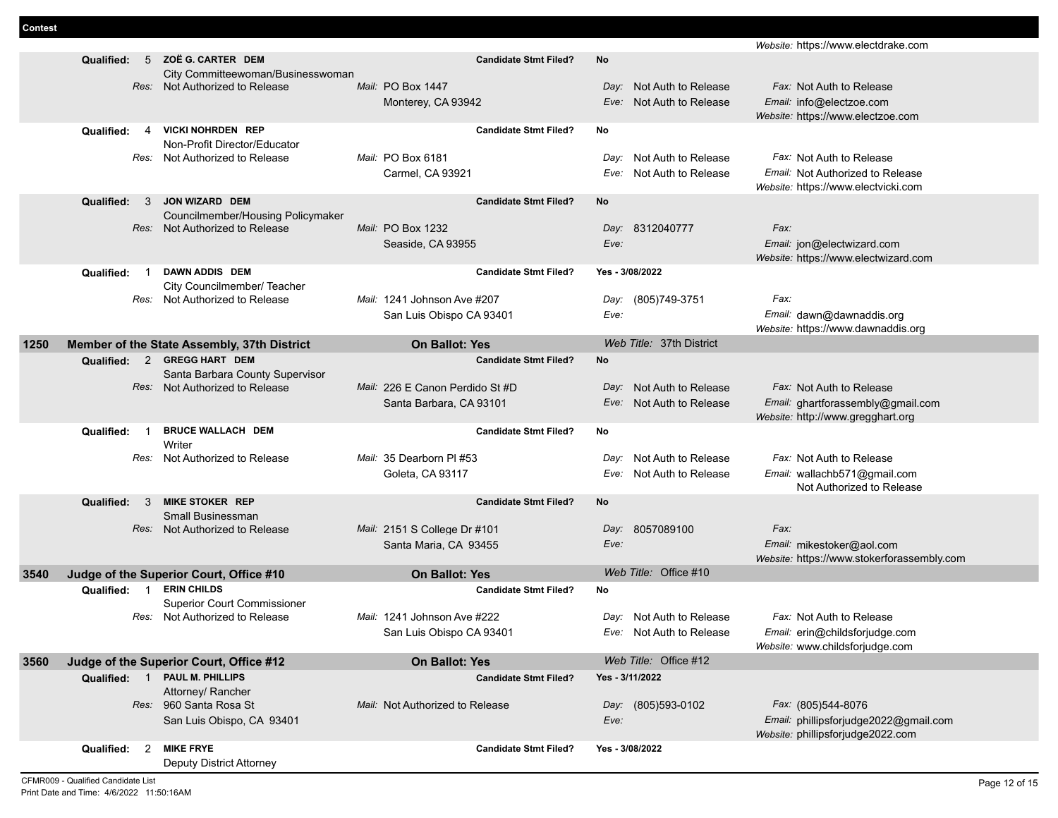|      |                              |                                                                     |                                 |                             | Website: https://www.electdrake.com                                        |
|------|------------------------------|---------------------------------------------------------------------|---------------------------------|-----------------------------|----------------------------------------------------------------------------|
|      | Qualified:                   | 5 ZOË G. CARTER DEM                                                 | <b>Candidate Stmt Filed?</b>    | No                          |                                                                            |
|      |                              | City Committeewoman/Businesswoman<br>Res: Not Authorized to Release | Mail: PO Box 1447               | Day: Not Auth to Release    | Fax: Not Auth to Release                                                   |
|      |                              |                                                                     | Monterey, CA 93942              | Eve: Not Auth to Release    | Email: info@electzoe.com                                                   |
|      |                              |                                                                     |                                 |                             | Website: https://www.electzoe.com                                          |
|      | Qualified:<br>$\overline{4}$ | <b>VICKI NOHRDEN REP</b>                                            | <b>Candidate Stmt Filed?</b>    | No                          |                                                                            |
|      |                              | Non-Profit Director/Educator                                        |                                 |                             |                                                                            |
|      | Res:                         | Not Authorized to Release                                           | Mail: PO Box 6181               | Not Auth to Release<br>Day: | Fax: Not Auth to Release                                                   |
|      |                              |                                                                     | Carmel, CA 93921                | Not Auth to Release<br>Eve: | Email: Not Authorized to Release                                           |
|      | $\mathbf{3}$<br>Qualified:   | <b>JON WIZARD DEM</b>                                               | <b>Candidate Stmt Filed?</b>    | No                          | Website: https://www.electvicki.com                                        |
|      |                              | Councilmember/Housing Policymaker                                   |                                 |                             |                                                                            |
|      |                              | Res: Not Authorized to Release                                      | Mail: PO Box 1232               | Day: 8312040777             | Fax:                                                                       |
|      |                              |                                                                     | Seaside, CA 93955               | Eve:                        | Email: jon@electwizard.com                                                 |
|      |                              |                                                                     |                                 |                             | Website: https://www.electwizard.com                                       |
|      | Qualified:<br>$\overline{1}$ | <b>DAWN ADDIS DEM</b>                                               | <b>Candidate Stmt Filed?</b>    | Yes - 3/08/2022             |                                                                            |
|      | Res:                         | City Councilmember/ Teacher<br>Not Authorized to Release            | Mail: 1241 Johnson Ave #207     | (805)749-3751<br>Day:       | Fax:                                                                       |
|      |                              |                                                                     | San Luis Obispo CA 93401        | Eve:                        | Email: dawn@dawnaddis.org                                                  |
|      |                              |                                                                     |                                 |                             | Website: https://www.dawnaddis.org                                         |
| 1250 |                              | Member of the State Assembly, 37th District                         | <b>On Ballot: Yes</b>           | Web Title: 37th District    |                                                                            |
|      | $\overline{2}$<br>Qualified: | <b>GREGG HART DEM</b>                                               | <b>Candidate Stmt Filed?</b>    | No                          |                                                                            |
|      |                              | Santa Barbara County Supervisor                                     |                                 |                             |                                                                            |
|      |                              | Res: Not Authorized to Release                                      | Mail: 226 E Canon Perdido St #D | Day: Not Auth to Release    | Fax: Not Auth to Release                                                   |
|      |                              |                                                                     | Santa Barbara, CA 93101         | Eve: Not Auth to Release    | Email: ghartforassembly@gmail.com<br>Website: http://www.gregghart.org     |
|      | Qualified:<br>-1             | <b>BRUCE WALLACH DEM</b>                                            | <b>Candidate Stmt Filed?</b>    | No                          |                                                                            |
|      |                              | Writer                                                              |                                 |                             |                                                                            |
|      | Res:                         | Not Authorized to Release                                           | Mail: 35 Dearborn PI #53        | Not Auth to Release<br>Day: | Fax: Not Auth to Release                                                   |
|      |                              |                                                                     | Goleta, CA 93117                | Not Auth to Release<br>Eve: | Email: wallachb571@gmail.com                                               |
|      | Qualified:<br>-3             | <b>MIKE STOKER REP</b>                                              | <b>Candidate Stmt Filed?</b>    | No                          | Not Authorized to Release                                                  |
|      |                              | Small Businessman                                                   |                                 |                             |                                                                            |
|      |                              | Res: Not Authorized to Release                                      | Mail: 2151 S College Dr #101    | Day: 8057089100             | Fax:                                                                       |
|      |                              |                                                                     | Santa Maria, CA 93455           | Eve:                        | Email: mikestoker@aol.com                                                  |
|      |                              |                                                                     |                                 |                             | Website: https://www.stokerforassembly.com                                 |
| 3540 |                              | Judge of the Superior Court, Office #10                             | <b>On Ballot: Yes</b>           | Web Title: Office #10       |                                                                            |
|      | Qualified: 1                 | <b>ERIN CHILDS</b>                                                  | <b>Candidate Stmt Filed?</b>    | No                          |                                                                            |
|      | Res:                         | <b>Superior Court Commissioner</b><br>Not Authorized to Release     | Mail: 1241 Johnson Ave #222     | Not Auth to Release<br>Day: | Fax: Not Auth to Release                                                   |
|      |                              |                                                                     | San Luis Obispo CA 93401        | Eve: Not Auth to Release    | Email: erin@childsforjudge.com                                             |
|      |                              |                                                                     |                                 |                             | Website: www.childsforjudge.com                                            |
| 3560 |                              | Judge of the Superior Court, Office #12                             | <b>On Ballot: Yes</b>           | Web Title: Office #12       |                                                                            |
|      | Qualified: 1                 | <b>PAUL M. PHILLIPS</b>                                             | <b>Candidate Stmt Filed?</b>    | Yes - 3/11/2022             |                                                                            |
|      |                              | Attorney/ Rancher                                                   |                                 |                             |                                                                            |
|      |                              | Res: 960 Santa Rosa St                                              | Mail: Not Authorized to Release | Day: (805)593-0102          | Fax: (805)544-8076                                                         |
|      |                              | San Luis Obispo, CA 93401                                           |                                 | Eve:                        | Email: phillipsforjudge2022@gmail.com<br>Website: phillipsforjudge2022.com |
|      | $\overline{2}$<br>Qualified: | <b>MIKE FRYE</b>                                                    | <b>Candidate Stmt Filed?</b>    | Yes - 3/08/2022             |                                                                            |
|      |                              | Deputy District Attorney                                            |                                 |                             |                                                                            |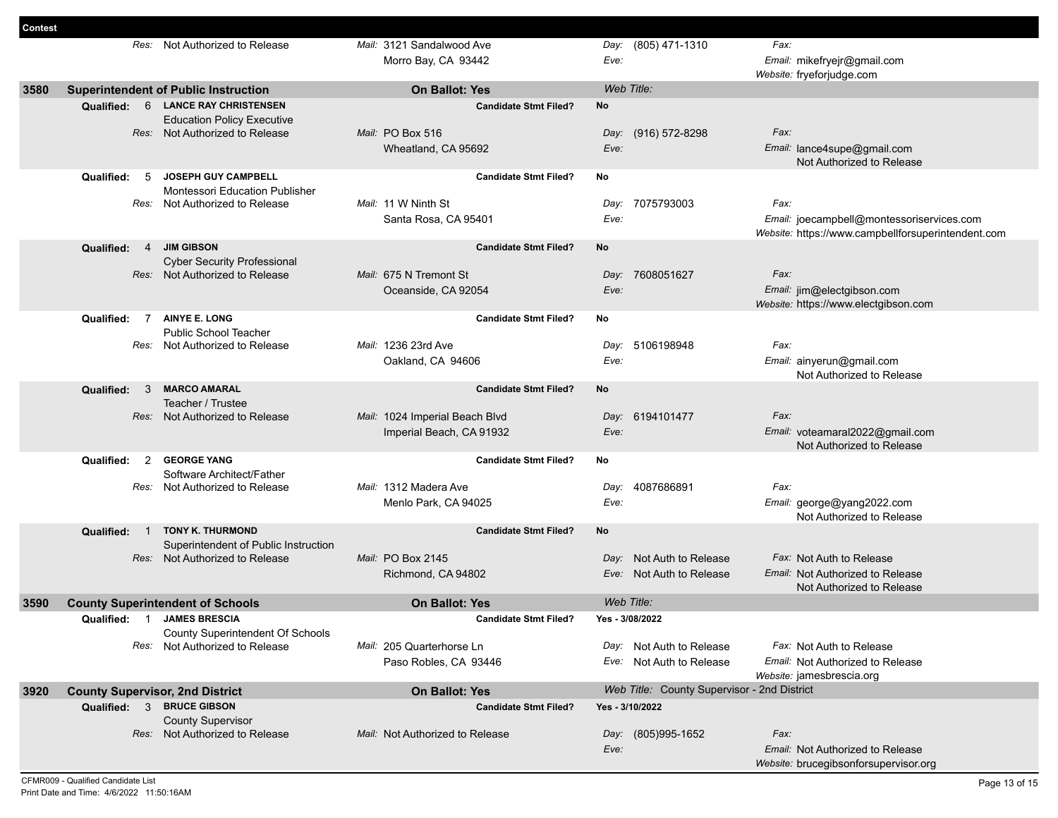| Contest |                                                                     |                                                                           |                                 |      |                                             |                                                                                                 |
|---------|---------------------------------------------------------------------|---------------------------------------------------------------------------|---------------------------------|------|---------------------------------------------|-------------------------------------------------------------------------------------------------|
|         |                                                                     | Res: Not Authorized to Release                                            | Mail: 3121 Sandalwood Ave       |      | Day: (805) 471-1310                         | Fax:                                                                                            |
|         |                                                                     |                                                                           | Morro Bay, CA 93442             | Eve: |                                             | Email: mikefryejr@gmail.com                                                                     |
|         |                                                                     |                                                                           |                                 |      |                                             | Website: fryeforjudge.com                                                                       |
| 3580    |                                                                     | <b>Superintendent of Public Instruction</b>                               | <b>On Ballot: Yes</b>           |      | Web Title:                                  |                                                                                                 |
|         | <b>Qualified:</b>                                                   | 6 LANCE RAY CHRISTENSEN                                                   | <b>Candidate Stmt Filed?</b>    | No   |                                             |                                                                                                 |
|         |                                                                     | <b>Education Policy Executive</b>                                         |                                 |      |                                             |                                                                                                 |
|         |                                                                     | Res: Not Authorized to Release                                            | Mail: PO Box 516                |      | Day: (916) 572-8298                         | Fax:                                                                                            |
|         |                                                                     |                                                                           | Wheatland, CA 95692             | Eve: |                                             | Email: lance4supe@gmail.com                                                                     |
|         |                                                                     |                                                                           |                                 |      |                                             | Not Authorized to Release                                                                       |
|         | Qualified:<br>5                                                     | <b>JOSEPH GUY CAMPBELL</b>                                                | <b>Candidate Stmt Filed?</b>    | No   |                                             |                                                                                                 |
|         |                                                                     | <b>Montessori Education Publisher</b>                                     |                                 |      |                                             |                                                                                                 |
|         | Res:                                                                | Not Authorized to Release                                                 | Mail: 11 W Ninth St             |      | Day: 7075793003                             | Fax:                                                                                            |
|         |                                                                     |                                                                           | Santa Rosa, CA 95401            | Eve: |                                             | Email: joecampbell@montessoriservices.com<br>Website: https://www.campbellforsuperintendent.com |
|         | Qualified:<br>$\overline{4}$                                        | <b>JIM GIBSON</b>                                                         | <b>Candidate Stmt Filed?</b>    | No   |                                             |                                                                                                 |
|         |                                                                     | <b>Cyber Security Professional</b>                                        |                                 |      |                                             |                                                                                                 |
|         |                                                                     | Res: Not Authorized to Release                                            | Mail: 675 N Tremont St          |      | Day: 7608051627                             | Fax:                                                                                            |
|         |                                                                     |                                                                           | Oceanside, CA 92054             | Eve: |                                             | Email: jim@electgibson.com                                                                      |
|         |                                                                     |                                                                           |                                 |      |                                             | Website: https://www.electgibson.com                                                            |
|         | $\overline{7}$<br>Qualified:                                        | <b>AINYE E. LONG</b>                                                      | <b>Candidate Stmt Filed?</b>    | No   |                                             |                                                                                                 |
|         |                                                                     | <b>Public School Teacher</b>                                              |                                 |      |                                             |                                                                                                 |
|         | Res:                                                                | Not Authorized to Release                                                 | Mail: 1236 23rd Ave             | Day: | 5106198948                                  | Fax:                                                                                            |
|         |                                                                     |                                                                           | Oakland, CA 94606               | Eve: |                                             | Email: ainyerun@gmail.com                                                                       |
|         |                                                                     |                                                                           |                                 |      |                                             | Not Authorized to Release                                                                       |
|         | Qualified:<br>3                                                     | <b>MARCO AMARAL</b>                                                       | <b>Candidate Stmt Filed?</b>    | No   |                                             |                                                                                                 |
|         |                                                                     | Teacher / Trustee                                                         |                                 |      |                                             | Fax:                                                                                            |
|         |                                                                     | Res: Not Authorized to Release                                            | Mail: 1024 Imperial Beach Blvd  | Eve: | Day: 6194101477                             |                                                                                                 |
|         |                                                                     |                                                                           | Imperial Beach, CA 91932        |      |                                             | Email: voteamaral2022@gmail.com<br>Not Authorized to Release                                    |
|         | 2<br>Qualified:                                                     | <b>GEORGE YANG</b>                                                        | <b>Candidate Stmt Filed?</b>    | No   |                                             |                                                                                                 |
|         |                                                                     | Software Architect/Father                                                 |                                 |      |                                             |                                                                                                 |
|         |                                                                     | Res: Not Authorized to Release                                            | Mail: 1312 Madera Ave           | Day: | 4087686891                                  | Fax:                                                                                            |
|         |                                                                     |                                                                           | Menlo Park, CA 94025            | Eve: |                                             | Email: george@yang2022.com                                                                      |
|         |                                                                     |                                                                           |                                 |      |                                             | Not Authorized to Release                                                                       |
|         | Qualified:<br>$\overline{1}$                                        | <b>TONY K. THURMOND</b>                                                   | <b>Candidate Stmt Filed?</b>    | No   |                                             |                                                                                                 |
|         |                                                                     | Superintendent of Public Instruction                                      |                                 |      |                                             |                                                                                                 |
|         |                                                                     | Res: Not Authorized to Release                                            | Mail: PO Box 2145               | Day: | Not Auth to Release                         | Fax: Not Auth to Release                                                                        |
|         |                                                                     |                                                                           | Richmond, CA 94802              |      | Eve: Not Auth to Release                    | <i>Email:</i> Not Authorized to Release                                                         |
|         |                                                                     |                                                                           |                                 |      |                                             | Not Authorized to Release                                                                       |
| 3590    | <b>County Superintendent of Schools</b>                             |                                                                           | <b>On Ballot: Yes</b>           |      | Web Title:                                  |                                                                                                 |
|         | Qualified: 1                                                        | <b>JAMES BRESCIA</b>                                                      | <b>Candidate Stmt Filed?</b>    |      | Yes - 3/08/2022                             |                                                                                                 |
|         |                                                                     | <b>County Superintendent Of Schools</b><br>Res: Not Authorized to Release | Mail: 205 Quarterhorse Ln       |      | Day: Not Auth to Release                    | Fax: Not Auth to Release                                                                        |
|         |                                                                     |                                                                           |                                 |      |                                             |                                                                                                 |
|         |                                                                     |                                                                           | Paso Robles, CA 93446           |      | Eve: Not Auth to Release                    | Email: Not Authorized to Release<br>Website: jamesbrescia.org                                   |
| 3920    |                                                                     |                                                                           | <b>On Ballot: Yes</b>           |      | Web Title: County Supervisor - 2nd District |                                                                                                 |
|         | <b>County Supervisor, 2nd District</b><br>Qualified: 3 BRUCE GIBSON |                                                                           | <b>Candidate Stmt Filed?</b>    |      | Yes - 3/10/2022                             |                                                                                                 |
|         |                                                                     | <b>County Supervisor</b>                                                  |                                 |      |                                             |                                                                                                 |
|         |                                                                     | Res: Not Authorized to Release                                            | Mail: Not Authorized to Release |      | Day: (805)995-1652                          | Fax:                                                                                            |
|         |                                                                     |                                                                           |                                 | Eve: |                                             | Email: Not Authorized to Release                                                                |
|         |                                                                     |                                                                           |                                 |      |                                             | Website: brucegibsonforsupervisor.org                                                           |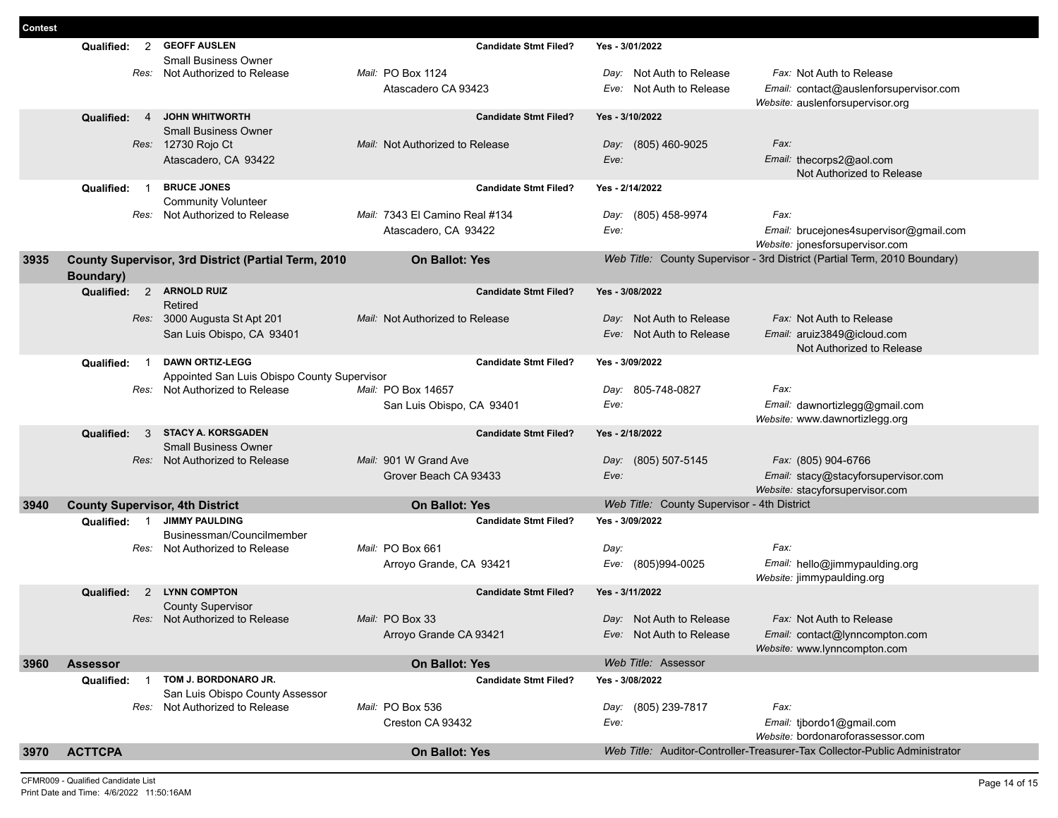|      | $\overline{2}$<br>Qualified:           | <b>GEOFF AUSLEN</b>                                                           | <b>Candidate Stmt Filed?</b>    | Yes - 3/01/2022                             |                                                                            |
|------|----------------------------------------|-------------------------------------------------------------------------------|---------------------------------|---------------------------------------------|----------------------------------------------------------------------------|
|      |                                        | <b>Small Business Owner</b>                                                   |                                 |                                             |                                                                            |
|      | Res:                                   | Not Authorized to Release                                                     | Mail: PO Box 1124               | Day: Not Auth to Release                    | Fax: Not Auth to Release                                                   |
|      |                                        |                                                                               | Atascadero CA 93423             | Eve: Not Auth to Release                    | Email: contact@auslenforsupervisor.com<br>Website: auslenforsupervisor.org |
|      | Qualified:<br>$\overline{4}$           | <b>JOHN WHITWORTH</b>                                                         | <b>Candidate Stmt Filed?</b>    | Yes - 3/10/2022                             |                                                                            |
|      |                                        | <b>Small Business Owner</b>                                                   |                                 |                                             |                                                                            |
|      |                                        | Res: 12730 Rojo Ct                                                            | Mail: Not Authorized to Release | (805) 460-9025<br>Day:                      | Fax:                                                                       |
|      |                                        | Atascadero, CA 93422                                                          |                                 | Eve:                                        | Email: thecorps2@aol.com<br>Not Authorized to Release                      |
|      | Qualified:<br>$\overline{1}$           | <b>BRUCE JONES</b>                                                            | <b>Candidate Stmt Filed?</b>    | Yes - 2/14/2022                             |                                                                            |
|      |                                        | <b>Community Volunteer</b>                                                    |                                 |                                             |                                                                            |
|      |                                        | Res: Not Authorized to Release                                                | Mail: 7343 El Camino Real #134  | (805) 458-9974<br>Day:                      | Fax:                                                                       |
|      |                                        |                                                                               | Atascadero, CA 93422            | Eve:                                        | Email: brucejones4supervisor@gmail.com<br>Website: jonesforsupervisor.com  |
| 3935 |                                        | County Supervisor, 3rd District (Partial Term, 2010                           | <b>On Ballot: Yes</b>           |                                             | Web Title: County Supervisor - 3rd District (Partial Term, 2010 Boundary)  |
|      | Boundary)                              |                                                                               |                                 |                                             |                                                                            |
|      | Qualified:                             | 2 ARNOLD RUIZ<br>Retired                                                      | <b>Candidate Stmt Filed?</b>    | Yes - 3/08/2022                             |                                                                            |
|      |                                        | Res: 3000 Augusta St Apt 201                                                  | Mail: Not Authorized to Release | Day: Not Auth to Release                    | Fax: Not Auth to Release                                                   |
|      |                                        | San Luis Obispo, CA 93401                                                     |                                 | Eve: Not Auth to Release                    | Email: aruiz3849@icloud.com                                                |
|      |                                        |                                                                               |                                 |                                             | Not Authorized to Release                                                  |
|      | Qualified:<br>$\overline{1}$           | <b>DAWN ORTIZ-LEGG</b>                                                        | <b>Candidate Stmt Filed?</b>    | Yes - 3/09/2022                             |                                                                            |
|      |                                        | Appointed San Luis Obispo County Supervisor<br>Res: Not Authorized to Release | Mail: PO Box 14657              |                                             | Fax:                                                                       |
|      |                                        |                                                                               | San Luis Obispo, CA 93401       | 805-748-0827<br>Day:<br>Eve:                | Email: dawnortizlegg@gmail.com                                             |
|      |                                        |                                                                               |                                 |                                             | Website: www.dawnortizlegg.org                                             |
|      | Qualified:<br>3                        | <b>STACY A. KORSGADEN</b>                                                     | <b>Candidate Stmt Filed?</b>    | Yes - 2/18/2022                             |                                                                            |
|      |                                        | <b>Small Business Owner</b><br>Res: Not Authorized to Release                 | Mail: 901 W Grand Ave           | Day: (805) 507-5145                         |                                                                            |
|      |                                        |                                                                               | Grover Beach CA 93433           | Eve:                                        | Fax: (805) 904-6766<br>Email: stacy@stacyforsupervisor.com                 |
|      |                                        |                                                                               |                                 |                                             | Website: stacyforsupervisor.com                                            |
| 3940 | <b>County Supervisor, 4th District</b> |                                                                               | <b>On Ballot: Yes</b>           | Web Title: County Supervisor - 4th District |                                                                            |
|      | Qualified:<br>$\overline{1}$           | <b>JIMMY PAULDING</b>                                                         | <b>Candidate Stmt Filed?</b>    | Yes - 3/09/2022                             |                                                                            |
|      |                                        | Businessman/Councilmember<br>Res: Not Authorized to Release                   | Mail: PO Box 661                | Day:                                        | Fax:                                                                       |
|      |                                        |                                                                               | Arroyo Grande, CA 93421         | Eve: (805)994-0025                          | Email: hello@jimmypaulding.org                                             |
|      |                                        |                                                                               |                                 |                                             | Website: jimmypaulding.org                                                 |
|      | 2<br>Qualified:                        | <b>LYNN COMPTON</b>                                                           | <b>Candidate Stmt Filed?</b>    | Yes - 3/11/2022                             |                                                                            |
|      |                                        | <b>County Supervisor</b><br>Res: Not Authorized to Release                    | Mail: PO Box 33                 | Day: Not Auth to Release                    | Fax: Not Auth to Release                                                   |
|      |                                        |                                                                               | Arroyo Grande CA 93421          | Eve: Not Auth to Release                    | Email: contact@lynncompton.com                                             |
|      |                                        |                                                                               |                                 |                                             | Website: www.lynncompton.com                                               |
| 3960 | <b>Assessor</b>                        |                                                                               | <b>On Ballot: Yes</b>           | Web Title: Assessor                         |                                                                            |
|      | Qualified:<br>$\overline{1}$           | TOM J. BORDONARO JR.                                                          | <b>Candidate Stmt Filed?</b>    | Yes - 3/08/2022                             |                                                                            |
|      |                                        | San Luis Obispo County Assessor<br>Res: Not Authorized to Release             | Mail: PO Box 536                | Day: (805) 239-7817                         | Fax:                                                                       |
|      |                                        |                                                                               | Creston CA 93432                | Eve:                                        | Email: tjbordo1@gmail.com                                                  |
|      |                                        |                                                                               |                                 |                                             | Website: bordonaroforassessor.com                                          |
| 3970 | <b>ACTTCPA</b>                         |                                                                               | <b>On Ballot: Yes</b>           |                                             | Web Title: Auditor-Controller-Treasurer-Tax Collector-Public Administrator |

**Contest**